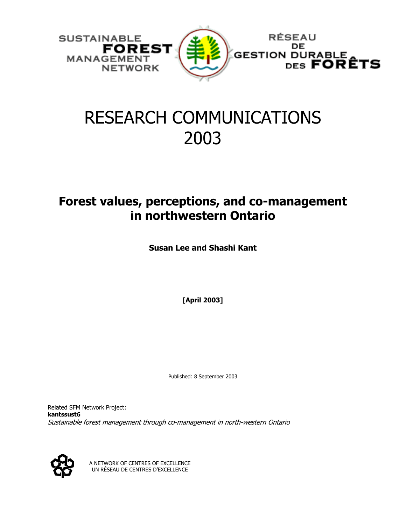

## RESEARCH COMMUNICATIONS 2003

## **Forest values, perceptions, and co-management in northwestern Ontario**

**Susan Lee and Shashi Kant** 

**[April 2003]** 

Published: 8 September 2003

Related SFM Network Project: **kantssust6** Sustainable forest management through co-management in north-western Ontario



A NETWORK OF CENTRES OF EXCELLENCE UN RÉSEAU DE CENTRES D'EXCELLENCE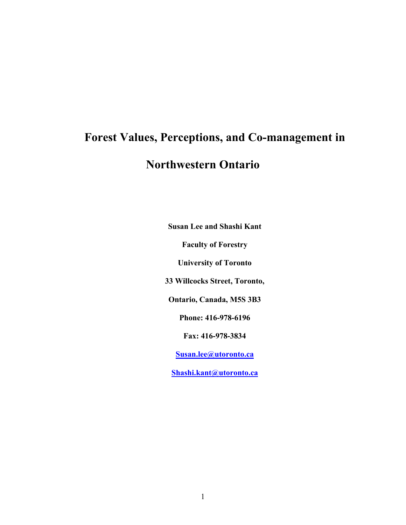# **Forest Values, Perceptions, and Co-management in Northwestern Ontario**

**Susan Lee and Shashi Kant Faculty of Forestry University of Toronto 33 Willcocks Street, Toronto, Ontario, Canada, M5S 3B3 Phone: 416-978-6196 Fax: 416-978-3834 Susan.lee@utoronto.ca Shashi.kant@utoronto.ca**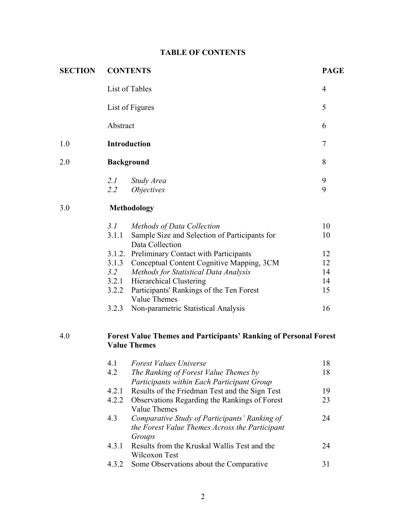## **TABLE OF CONTENTS**

| <b>SECTION</b> | <b>CONTENTS</b>                                                                                |                                                                                                                      |          |  |  |  |  |  |
|----------------|------------------------------------------------------------------------------------------------|----------------------------------------------------------------------------------------------------------------------|----------|--|--|--|--|--|
|                | List of Tables                                                                                 |                                                                                                                      |          |  |  |  |  |  |
|                |                                                                                                | List of Figures                                                                                                      | 5        |  |  |  |  |  |
|                | Abstract                                                                                       |                                                                                                                      | 6        |  |  |  |  |  |
| 1.0            | <b>Introduction</b>                                                                            | 7                                                                                                                    |          |  |  |  |  |  |
| 2.0            | <b>Background</b>                                                                              |                                                                                                                      | 8        |  |  |  |  |  |
|                | 2.1<br>$2.2^{\circ}$                                                                           | Study Area<br><i>Objectives</i>                                                                                      | 9<br>9   |  |  |  |  |  |
| 3.0            | <b>Methodology</b>                                                                             |                                                                                                                      |          |  |  |  |  |  |
|                | 3.1<br>3.1.1                                                                                   | Methods of Data Collection<br>Sample Size and Selection of Participants for<br>Data Collection                       | 10<br>10 |  |  |  |  |  |
|                | 3.1.3                                                                                          | 3.1.2. Preliminary Contact with Participants<br>Conceptual Content Cognitive Mapping, 3CM                            | 12<br>12 |  |  |  |  |  |
|                | 3.2                                                                                            | Methods for Statistical Data Analysis                                                                                | 14       |  |  |  |  |  |
|                |                                                                                                | 3.2.1 Hierarchical Clustering<br>3.2.2 Participants' Rankings of the Ten Forest<br><b>Value Themes</b>               | 14<br>15 |  |  |  |  |  |
|                | 3.2.3                                                                                          | Non-parametric Statistical Analysis                                                                                  | 16       |  |  |  |  |  |
| 4.0            | <b>Forest Value Themes and Participants' Ranking of Personal Forest</b><br><b>Value Themes</b> |                                                                                                                      |          |  |  |  |  |  |
|                | 4.1<br>4.2                                                                                     | <b>Forest Values Universe</b><br>The Ranking of Forest Value Themes by<br>Participants within Each Participant Group | 18<br>18 |  |  |  |  |  |
|                | 4.2.1                                                                                          | Results of the Friedman Test and the Sign Test                                                                       | 19       |  |  |  |  |  |
|                | 4.2.2                                                                                          | Observations Regarding the Rankings of Forest<br><b>Value Themes</b>                                                 | 23       |  |  |  |  |  |
|                | 4.3                                                                                            | 24                                                                                                                   |          |  |  |  |  |  |
|                | 4.3.1                                                                                          | Groups<br>Results from the Kruskal Wallis Test and the<br>Wilcoxon Test                                              | 24       |  |  |  |  |  |
|                | 4.3.2                                                                                          | Some Observations about the Comparative                                                                              | 31       |  |  |  |  |  |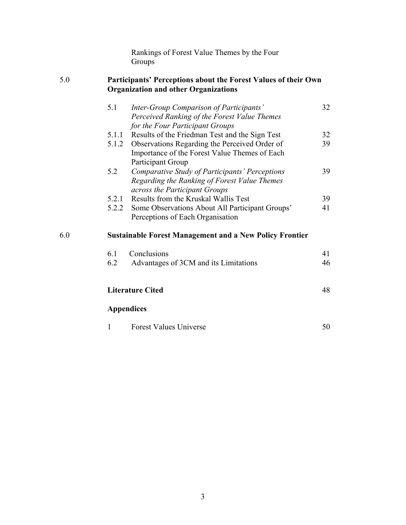Rankings of Forest Value Themes by the Four **Groups** 

#### 5.0 **Participants' Perceptions about the Forest Values of their Own Organization and other Organizations**

|     | 5.1   | Inter-Group Comparison of Participants'<br>Perceived Ranking of the Forest Value Themes | 32 |  |  |  |  |  |  |
|-----|-------|-----------------------------------------------------------------------------------------|----|--|--|--|--|--|--|
|     |       | for the Four Participant Groups<br>5.1.1 Results of the Friedman Test and the Sign Test | 32 |  |  |  |  |  |  |
|     |       | 5.1.2 Observations Regarding the Perceived Order of                                     | 39 |  |  |  |  |  |  |
|     |       | Importance of the Forest Value Themes of Each                                           |    |  |  |  |  |  |  |
|     |       | Participant Group                                                                       |    |  |  |  |  |  |  |
|     | 5.2   | Comparative Study of Participants' Perceptions                                          | 39 |  |  |  |  |  |  |
|     |       | Regarding the Ranking of Forest Value Themes                                            |    |  |  |  |  |  |  |
|     |       | across the Participant Groups                                                           |    |  |  |  |  |  |  |
|     | 5.2.1 | Results from the Kruskal Wallis Test                                                    | 39 |  |  |  |  |  |  |
|     | 5.2.2 | Some Observations About All Participant Groups'                                         | 41 |  |  |  |  |  |  |
|     |       | Perceptions of Each Organisation                                                        |    |  |  |  |  |  |  |
| 6.0 |       | <b>Sustainable Forest Management and a New Policy Frontier</b>                          |    |  |  |  |  |  |  |
|     | 6.1   | Conclusions                                                                             | 41 |  |  |  |  |  |  |
|     | 6.2   | Advantages of 3CM and its Limitations                                                   | 46 |  |  |  |  |  |  |
|     |       |                                                                                         | 48 |  |  |  |  |  |  |
|     |       | <b>Literature Cited</b>                                                                 |    |  |  |  |  |  |  |
|     |       | <b>Appendices</b>                                                                       |    |  |  |  |  |  |  |
|     | 1     | <b>Forest Values Universe</b>                                                           | 50 |  |  |  |  |  |  |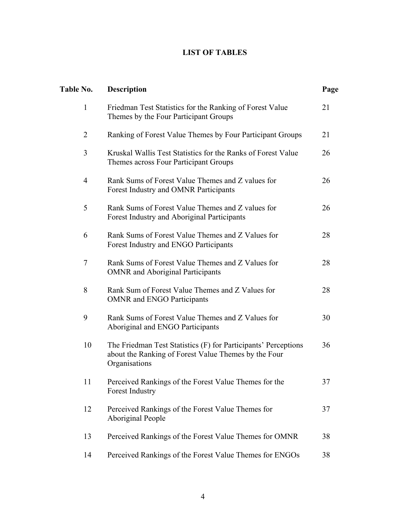## **LIST OF TABLES**

| Table No.      | <b>Description</b>                                                                                                                      | Page |
|----------------|-----------------------------------------------------------------------------------------------------------------------------------------|------|
| $\mathbf{1}$   | Friedman Test Statistics for the Ranking of Forest Value<br>Themes by the Four Participant Groups                                       | 21   |
| $\overline{2}$ | Ranking of Forest Value Themes by Four Participant Groups                                                                               | 21   |
| 3              | Kruskal Wallis Test Statistics for the Ranks of Forest Value<br>Themes across Four Participant Groups                                   | 26   |
| 4              | Rank Sums of Forest Value Themes and Z values for<br>Forest Industry and OMNR Participants                                              | 26   |
| 5              | Rank Sums of Forest Value Themes and Z values for<br>Forest Industry and Aboriginal Participants                                        | 26   |
| 6              | Rank Sums of Forest Value Themes and Z Values for<br>Forest Industry and ENGO Participants                                              | 28   |
| 7              | Rank Sums of Forest Value Themes and Z Values for<br><b>OMNR</b> and Aboriginal Participants                                            | 28   |
| 8              | Rank Sum of Forest Value Themes and Z Values for<br><b>OMNR</b> and ENGO Participants                                                   | 28   |
| 9              | Rank Sums of Forest Value Themes and Z Values for<br>Aboriginal and ENGO Participants                                                   | 30   |
| 10             | The Friedman Test Statistics (F) for Participants' Perceptions<br>about the Ranking of Forest Value Themes by the Four<br>Organisations | 36   |
| 11             | Perceived Rankings of the Forest Value Themes for the<br>Forest Industry                                                                | 37   |
| 12             | Perceived Rankings of the Forest Value Themes for<br>Aboriginal People                                                                  | 37   |
| 13             | Perceived Rankings of the Forest Value Themes for OMNR                                                                                  | 38   |
| 14             | Perceived Rankings of the Forest Value Themes for ENGOs                                                                                 | 38   |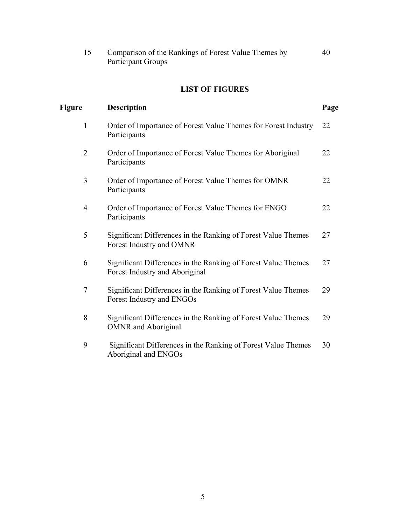| Comparison of the Rankings of Forest Value Themes by | 40 |
|------------------------------------------------------|----|
| Participant Groups                                   |    |

### **LIST OF FIGURES**

| Figure         | <b>Description</b>                                                                              | Page |
|----------------|-------------------------------------------------------------------------------------------------|------|
| $\mathbf{1}$   | Order of Importance of Forest Value Themes for Forest Industry<br>Participants                  | 22   |
| $\overline{2}$ | Order of Importance of Forest Value Themes for Aboriginal<br>Participants                       | 22   |
| 3              | Order of Importance of Forest Value Themes for OMNR<br>Participants                             | 22   |
| $\overline{4}$ | Order of Importance of Forest Value Themes for ENGO<br>Participants                             | 22   |
| 5              | Significant Differences in the Ranking of Forest Value Themes<br>Forest Industry and OMNR       | 27   |
| 6              | Significant Differences in the Ranking of Forest Value Themes<br>Forest Industry and Aboriginal | 27   |
| $\overline{7}$ | Significant Differences in the Ranking of Forest Value Themes<br>Forest Industry and ENGOs      | 29   |
| 8              | Significant Differences in the Ranking of Forest Value Themes<br><b>OMNR</b> and Aboriginal     | 29   |
| 9              | Significant Differences in the Ranking of Forest Value Themes<br>Aboriginal and ENGOs           | 30   |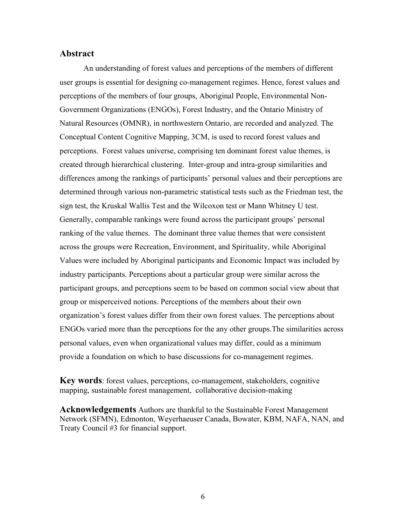#### **Abstract**

An understanding of forest values and perceptions of the members of different user groups is essential for designing co-management regimes. Hence, forest values and perceptions of the members of four groups, Aboriginal People, Environmental Non-Government Organizations (ENGOs), Forest Industry, and the Ontario Ministry of Natural Resources (OMNR), in northwestern Ontario, are recorded and analyzed. The Conceptual Content Cognitive Mapping, 3CM, is used to record forest values and perceptions. Forest values universe, comprising ten dominant forest value themes, is created through hierarchical clustering. Inter-group and intra-group similarities and differences among the rankings of participants' personal values and their perceptions are determined through various non-parametric statistical tests such as the Friedman test, the sign test, the Kruskal Wallis Test and the Wilcoxon test or Mann Whitney U test. Generally, comparable rankings were found across the participant groups' personal ranking of the value themes. The dominant three value themes that were consistent across the groups were Recreation, Environment, and Spirituality, while Aboriginal Values were included by Aboriginal participants and Economic Impact was included by industry participants. Perceptions about a particular group were similar across the participant groups, and perceptions seem to be based on common social view about that group or misperceived notions. Perceptions of the members about their own organization's forest values differ from their own forest values. The perceptions about ENGOs varied more than the perceptions for the any other groups.The similarities across personal values, even when organizational values may differ, could as a minimum provide a foundation on which to base discussions for co-management regimes.

**Key words**: forest values, perceptions, co-management, stakeholders, cognitive mapping, sustainable forest management, collaborative decision-making

**Acknowledgements** Authors are thankful to the Sustainable Forest Management Network (SFMN), Edmonton, Weyerhaeuser Canada, Bowater, KBM, NAFA, NAN, and Treaty Council #3 for financial support.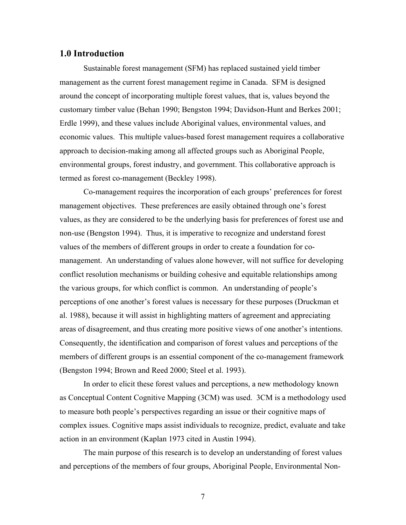#### **1.0 Introduction**

Sustainable forest management (SFM) has replaced sustained yield timber management as the current forest management regime in Canada. SFM is designed around the concept of incorporating multiple forest values, that is, values beyond the customary timber value (Behan 1990; Bengston 1994; Davidson-Hunt and Berkes 2001; Erdle 1999), and these values include Aboriginal values, environmental values, and economic values. This multiple values-based forest management requires a collaborative approach to decision-making among all affected groups such as Aboriginal People, environmental groups, forest industry, and government. This collaborative approach is termed as forest co-management (Beckley 1998).

Co-management requires the incorporation of each groups' preferences for forest management objectives. These preferences are easily obtained through one's forest values, as they are considered to be the underlying basis for preferences of forest use and non-use (Bengston 1994). Thus, it is imperative to recognize and understand forest values of the members of different groups in order to create a foundation for comanagement. An understanding of values alone however, will not suffice for developing conflict resolution mechanisms or building cohesive and equitable relationships among the various groups, for which conflict is common. An understanding of people's perceptions of one another's forest values is necessary for these purposes (Druckman et al. 1988), because it will assist in highlighting matters of agreement and appreciating areas of disagreement, and thus creating more positive views of one another's intentions. Consequently, the identification and comparison of forest values and perceptions of the members of different groups is an essential component of the co-management framework (Bengston 1994; Brown and Reed 2000; Steel et al. 1993).

In order to elicit these forest values and perceptions, a new methodology known as Conceptual Content Cognitive Mapping (3CM) was used. 3CM is a methodology used to measure both people's perspectives regarding an issue or their cognitive maps of complex issues. Cognitive maps assist individuals to recognize, predict, evaluate and take action in an environment (Kaplan 1973 cited in Austin 1994).

The main purpose of this research is to develop an understanding of forest values and perceptions of the members of four groups, Aboriginal People, Environmental Non-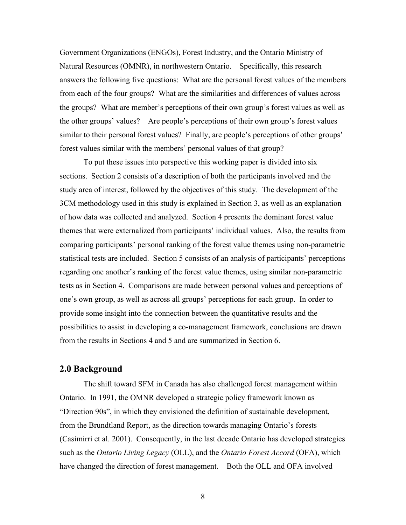Government Organizations (ENGOs), Forest Industry, and the Ontario Ministry of Natural Resources (OMNR), in northwestern Ontario. Specifically, this research answers the following five questions: What are the personal forest values of the members from each of the four groups? What are the similarities and differences of values across the groups? What are member's perceptions of their own group's forest values as well as the other groups' values? Are people's perceptions of their own group's forest values similar to their personal forest values? Finally, are people's perceptions of other groups' forest values similar with the members' personal values of that group?

To put these issues into perspective this working paper is divided into six sections. Section 2 consists of a description of both the participants involved and the study area of interest, followed by the objectives of this study. The development of the 3CM methodology used in this study is explained in Section 3, as well as an explanation of how data was collected and analyzed. Section 4 presents the dominant forest value themes that were externalized from participants' individual values. Also, the results from comparing participants' personal ranking of the forest value themes using non-parametric statistical tests are included. Section 5 consists of an analysis of participants' perceptions regarding one another's ranking of the forest value themes, using similar non-parametric tests as in Section 4. Comparisons are made between personal values and perceptions of one's own group, as well as across all groups' perceptions for each group. In order to provide some insight into the connection between the quantitative results and the possibilities to assist in developing a co-management framework, conclusions are drawn from the results in Sections 4 and 5 and are summarized in Section 6.

#### **2.0 Background**

The shift toward SFM in Canada has also challenged forest management within Ontario. In 1991, the OMNR developed a strategic policy framework known as "Direction 90s", in which they envisioned the definition of sustainable development, from the Brundtland Report, as the direction towards managing Ontario's forests (Casimirri et al. 2001). Consequently, in the last decade Ontario has developed strategies such as the *Ontario Living Legacy* (OLL), and the *Ontario Forest Accord* (OFA), which have changed the direction of forest management. Both the OLL and OFA involved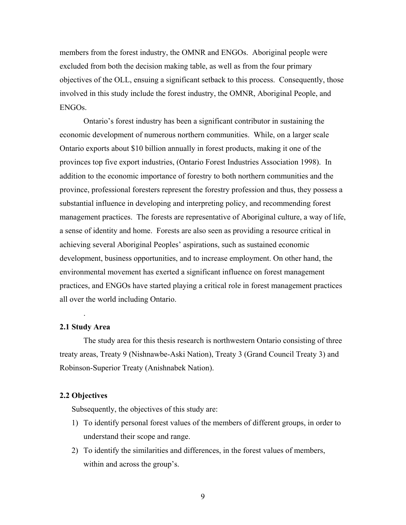members from the forest industry, the OMNR and ENGOs. Aboriginal people were excluded from both the decision making table, as well as from the four primary objectives of the OLL, ensuing a significant setback to this process. Consequently, those involved in this study include the forest industry, the OMNR, Aboriginal People, and ENGOs.

Ontario's forest industry has been a significant contributor in sustaining the economic development of numerous northern communities. While, on a larger scale Ontario exports about \$10 billion annually in forest products, making it one of the provinces top five export industries, (Ontario Forest Industries Association 1998). In addition to the economic importance of forestry to both northern communities and the province, professional foresters represent the forestry profession and thus, they possess a substantial influence in developing and interpreting policy, and recommending forest management practices. The forests are representative of Aboriginal culture, a way of life, a sense of identity and home. Forests are also seen as providing a resource critical in achieving several Aboriginal Peoples' aspirations, such as sustained economic development, business opportunities, and to increase employment. On other hand, the environmental movement has exerted a significant influence on forest management practices, and ENGOs have started playing a critical role in forest management practices all over the world including Ontario.

#### **2.1 Study Area**

.

The study area for this thesis research is northwestern Ontario consisting of three treaty areas, Treaty 9 (Nishnawbe-Aski Nation), Treaty 3 (Grand Council Treaty 3) and Robinson-Superior Treaty (Anishnabek Nation).

#### **2.2 Objectives**

Subsequently, the objectives of this study are:

- 1) To identify personal forest values of the members of different groups, in order to understand their scope and range.
- 2) To identify the similarities and differences, in the forest values of members, within and across the group's.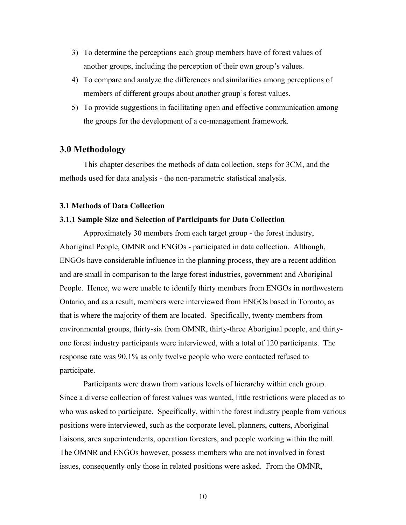- 3) To determine the perceptions each group members have of forest values of another groups, including the perception of their own group's values.
- 4) To compare and analyze the differences and similarities among perceptions of members of different groups about another group's forest values.
- 5) To provide suggestions in facilitating open and effective communication among the groups for the development of a co-management framework.

#### **3.0 Methodology**

This chapter describes the methods of data collection, steps for 3CM, and the methods used for data analysis - the non-parametric statistical analysis.

#### **3.1 Methods of Data Collection**

#### **3.1.1 Sample Size and Selection of Participants for Data Collection**

Approximately 30 members from each target group - the forest industry, Aboriginal People, OMNR and ENGOs - participated in data collection. Although, ENGOs have considerable influence in the planning process, they are a recent addition and are small in comparison to the large forest industries, government and Aboriginal People. Hence, we were unable to identify thirty members from ENGOs in northwestern Ontario, and as a result, members were interviewed from ENGOs based in Toronto, as that is where the majority of them are located. Specifically, twenty members from environmental groups, thirty-six from OMNR, thirty-three Aboriginal people, and thirtyone forest industry participants were interviewed, with a total of 120 participants. The response rate was 90.1% as only twelve people who were contacted refused to participate.

Participants were drawn from various levels of hierarchy within each group. Since a diverse collection of forest values was wanted, little restrictions were placed as to who was asked to participate. Specifically, within the forest industry people from various positions were interviewed, such as the corporate level, planners, cutters, Aboriginal liaisons, area superintendents, operation foresters, and people working within the mill. The OMNR and ENGOs however, possess members who are not involved in forest issues, consequently only those in related positions were asked. From the OMNR,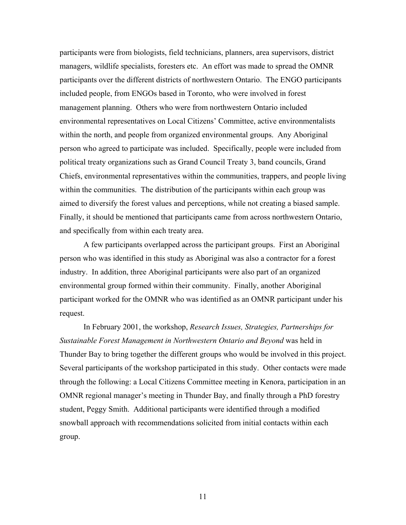participants were from biologists, field technicians, planners, area supervisors, district managers, wildlife specialists, foresters etc. An effort was made to spread the OMNR participants over the different districts of northwestern Ontario. The ENGO participants included people, from ENGOs based in Toronto, who were involved in forest management planning. Others who were from northwestern Ontario included environmental representatives on Local Citizens' Committee, active environmentalists within the north, and people from organized environmental groups. Any Aboriginal person who agreed to participate was included. Specifically, people were included from political treaty organizations such as Grand Council Treaty 3, band councils, Grand Chiefs, environmental representatives within the communities, trappers, and people living within the communities. The distribution of the participants within each group was aimed to diversify the forest values and perceptions, while not creating a biased sample. Finally, it should be mentioned that participants came from across northwestern Ontario, and specifically from within each treaty area.

A few participants overlapped across the participant groups. First an Aboriginal person who was identified in this study as Aboriginal was also a contractor for a forest industry. In addition, three Aboriginal participants were also part of an organized environmental group formed within their community. Finally, another Aboriginal participant worked for the OMNR who was identified as an OMNR participant under his request.

In February 2001, the workshop, *Research Issues, Strategies, Partnerships for Sustainable Forest Management in Northwestern Ontario and Beyond* was held in Thunder Bay to bring together the different groups who would be involved in this project. Several participants of the workshop participated in this study. Other contacts were made through the following: a Local Citizens Committee meeting in Kenora, participation in an OMNR regional manager's meeting in Thunder Bay, and finally through a PhD forestry student, Peggy Smith. Additional participants were identified through a modified snowball approach with recommendations solicited from initial contacts within each group.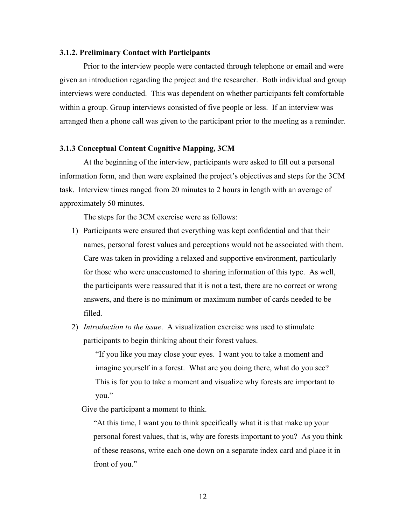#### **3.1.2. Preliminary Contact with Participants**

Prior to the interview people were contacted through telephone or email and were given an introduction regarding the project and the researcher. Both individual and group interviews were conducted. This was dependent on whether participants felt comfortable within a group. Group interviews consisted of five people or less. If an interview was arranged then a phone call was given to the participant prior to the meeting as a reminder.

#### **3.1.3 Conceptual Content Cognitive Mapping, 3CM**

At the beginning of the interview, participants were asked to fill out a personal information form, and then were explained the project's objectives and steps for the 3CM task. Interview times ranged from 20 minutes to 2 hours in length with an average of approximately 50 minutes.

The steps for the 3CM exercise were as follows:

- 1) Participants were ensured that everything was kept confidential and that their names, personal forest values and perceptions would not be associated with them. Care was taken in providing a relaxed and supportive environment, particularly for those who were unaccustomed to sharing information of this type. As well, the participants were reassured that it is not a test, there are no correct or wrong answers, and there is no minimum or maximum number of cards needed to be filled.
- 2) *Introduction to the issue*. A visualization exercise was used to stimulate participants to begin thinking about their forest values.

"If you like you may close your eyes. I want you to take a moment and imagine yourself in a forest. What are you doing there, what do you see? This is for you to take a moment and visualize why forests are important to you."

Give the participant a moment to think.

"At this time, I want you to think specifically what it is that make up your personal forest values, that is, why are forests important to you? As you think of these reasons, write each one down on a separate index card and place it in front of you."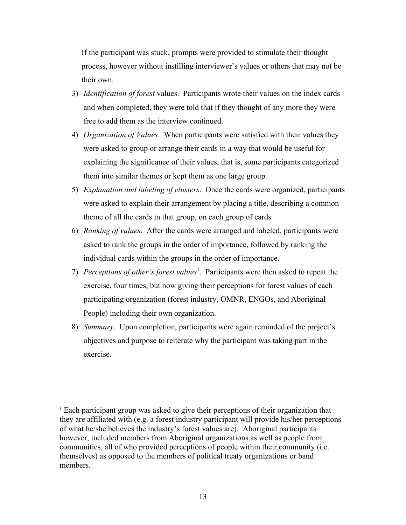If the participant was stuck, prompts were provided to stimulate their thought process, however without instilling interviewer's values or others that may not be their own.

- 3) *Identification of forest* values. Participants wrote their values on the index cards and when completed, they were told that if they thought of any more they were free to add them as the interview continued.
- 4) *Organization of Values*. When participants were satisfied with their values they were asked to group or arrange their cards in a way that would be useful for explaining the significance of their values, that is, some participants categorized them into similar themes or kept them as one large group.
- 5) *Explanation and labeling of clusters*. Once the cards were organized, participants were asked to explain their arrangement by placing a title, describing a common theme of all the cards in that group, on each group of cards
- 6) *Ranking of values*. After the cards were arranged and labeled, participants were asked to rank the groups in the order of importance, followed by ranking the individual cards within the groups in the order of importance.
- 7) *Perceptions of other's forest values*<sup>1</sup> . Participants were then asked to repeat the exercise, four times, but now giving their perceptions for forest values of each participating organization (forest industry, OMNR, ENGOs, and Aboriginal People) including their own organization.
- 8) *Summary*. Upon completion, participants were again reminded of the project's objectives and purpose to reiterate why the participant was taking part in the exercise.

<sup>&</sup>lt;sup>1</sup> Each participant group was asked to give their perceptions of their organization that they are affiliated with (e.g. a forest industry participant will provide his/her perceptions of what he/she believes the industry's forest values are). Aboriginal participants however, included members from Aboriginal organizations as well as people from communities, all of who provided perceptions of people within their community (i.e. themselves) as opposed to the members of political treaty organizations or band members.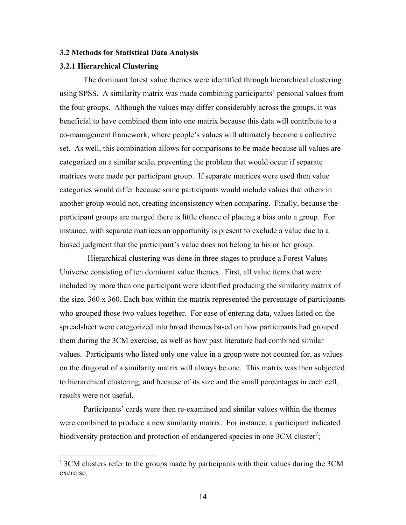#### **3.2 Methods for Statistical Data Analysis**

#### **3.2.1 Hierarchical Clustering**

 $\overline{a}$ 

The dominant forest value themes were identified through hierarchical clustering using SPSS. A similarity matrix was made combining participants' personal values from the four groups. Although the values may differ considerably across the groups, it was beneficial to have combined them into one matrix because this data will contribute to a co-management framework, where people's values will ultimately become a collective set. As well, this combination allows for comparisons to be made because all values are categorized on a similar scale, preventing the problem that would occur if separate matrices were made per participant group. If separate matrices were used then value categories would differ because some participants would include values that others in another group would not, creating inconsistency when comparing. Finally, because the participant groups are merged there is little chance of placing a bias onto a group. For instance, with separate matrices an opportunity is present to exclude a value due to a biased judgment that the participant's value does not belong to his or her group.

 Hierarchical clustering was done in three stages to produce a Forest Values Universe consisting of ten dominant value themes. First, all value items that were included by more than one participant were identified producing the similarity matrix of the size,  $360 \times 360$ . Each box within the matrix represented the percentage of participants who grouped those two values together. For ease of entering data, values listed on the spreadsheet were categorized into broad themes based on how participants had grouped them during the 3CM exercise, as well as how past literature had combined similar values. Participants who listed only one value in a group were not counted for, as values on the diagonal of a similarity matrix will always be one. This matrix was then subjected to hierarchical clustering, and because of its size and the small percentages in each cell, results were not useful.

Participants' cards were then re-examined and similar values within the themes were combined to produce a new similarity matrix. For instance, a participant indicated biodiversity protection and protection of endangered species in one 3CM cluster<sup>2</sup>;

<sup>&</sup>lt;sup>2</sup> 3CM clusters refer to the groups made by participants with their values during the 3CM exercise.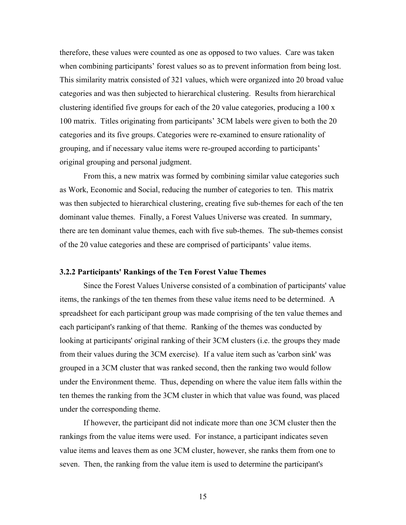therefore, these values were counted as one as opposed to two values. Care was taken when combining participants' forest values so as to prevent information from being lost. This similarity matrix consisted of 321 values, which were organized into 20 broad value categories and was then subjected to hierarchical clustering. Results from hierarchical clustering identified five groups for each of the 20 value categories, producing a 100 x 100 matrix. Titles originating from participants' 3CM labels were given to both the 20 categories and its five groups. Categories were re-examined to ensure rationality of grouping, and if necessary value items were re-grouped according to participants' original grouping and personal judgment.

From this, a new matrix was formed by combining similar value categories such as Work, Economic and Social, reducing the number of categories to ten. This matrix was then subjected to hierarchical clustering, creating five sub-themes for each of the ten dominant value themes. Finally, a Forest Values Universe was created. In summary, there are ten dominant value themes, each with five sub-themes. The sub-themes consist of the 20 value categories and these are comprised of participants' value items.

#### **3.2.2 Participants' Rankings of the Ten Forest Value Themes**

Since the Forest Values Universe consisted of a combination of participants' value items, the rankings of the ten themes from these value items need to be determined. A spreadsheet for each participant group was made comprising of the ten value themes and each participant's ranking of that theme. Ranking of the themes was conducted by looking at participants' original ranking of their 3CM clusters (i.e. the groups they made from their values during the 3CM exercise). If a value item such as 'carbon sink' was grouped in a 3CM cluster that was ranked second, then the ranking two would follow under the Environment theme. Thus, depending on where the value item falls within the ten themes the ranking from the 3CM cluster in which that value was found, was placed under the corresponding theme.

If however, the participant did not indicate more than one 3CM cluster then the rankings from the value items were used. For instance, a participant indicates seven value items and leaves them as one 3CM cluster, however, she ranks them from one to seven. Then, the ranking from the value item is used to determine the participant's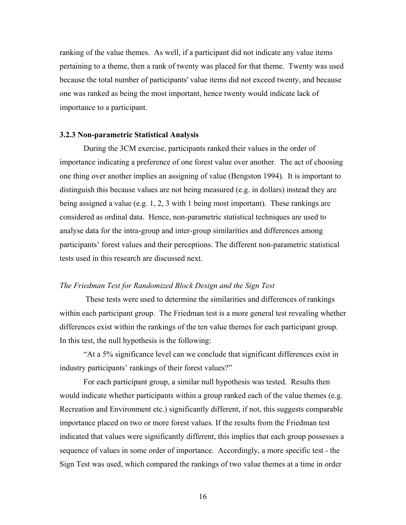ranking of the value themes. As well, if a participant did not indicate any value items pertaining to a theme, then a rank of twenty was placed for that theme. Twenty was used because the total number of participants' value items did not exceed twenty, and because one was ranked as being the most important, hence twenty would indicate lack of importance to a participant.

#### **3.2.3 Non-parametric Statistical Analysis**

During the 3CM exercise, participants ranked their values in the order of importance indicating a preference of one forest value over another. The act of choosing one thing over another implies an assigning of value (Bengston 1994). It is important to distinguish this because values are not being measured (e.g. in dollars) instead they are being assigned a value (e.g. 1, 2, 3 with 1 being most important). These rankings are considered as ordinal data. Hence, non-parametric statistical techniques are used to analyse data for the intra-group and inter-group similarities and differences among participants' forest values and their perceptions. The different non-parametric statistical tests used in this research are discussed next.

#### *The Friedman Test for Randomized Block Design and the Sign Test*

 These tests were used to determine the similarities and differences of rankings within each participant group. The Friedman test is a more general test revealing whether differences exist within the rankings of the ten value themes for each participant group. In this test, the null hypothesis is the following:

"At a 5% significance level can we conclude that significant differences exist in industry participants' rankings of their forest values?"

For each participant group, a similar null hypothesis was tested. Results then would indicate whether participants within a group ranked each of the value themes (e.g. Recreation and Environment etc.) significantly different, if not, this suggests comparable importance placed on two or more forest values. If the results from the Friedman test indicated that values were significantly different, this implies that each group possesses a sequence of values in some order of importance. Accordingly, a more specific test - the Sign Test was used, which compared the rankings of two value themes at a time in order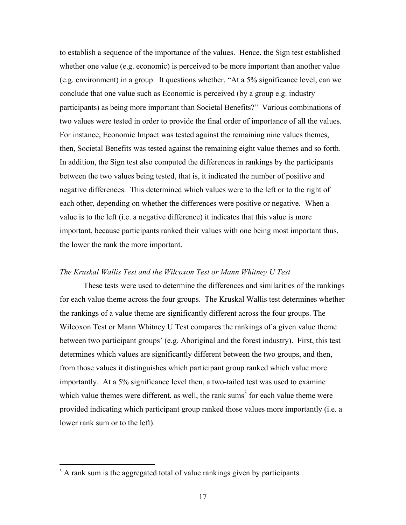to establish a sequence of the importance of the values. Hence, the Sign test established whether one value (e.g. economic) is perceived to be more important than another value (e.g. environment) in a group. It questions whether, "At a 5% significance level, can we conclude that one value such as Economic is perceived (by a group e.g. industry participants) as being more important than Societal Benefits?" Various combinations of two values were tested in order to provide the final order of importance of all the values. For instance, Economic Impact was tested against the remaining nine values themes, then, Societal Benefits was tested against the remaining eight value themes and so forth. In addition, the Sign test also computed the differences in rankings by the participants between the two values being tested, that is, it indicated the number of positive and negative differences. This determined which values were to the left or to the right of each other, depending on whether the differences were positive or negative. When a value is to the left (i.e. a negative difference) it indicates that this value is more important, because participants ranked their values with one being most important thus, the lower the rank the more important.

#### *The Kruskal Wallis Test and the Wilcoxon Test or Mann Whitney U Test*

 These tests were used to determine the differences and similarities of the rankings for each value theme across the four groups. The Kruskal Wallis test determines whether the rankings of a value theme are significantly different across the four groups. The Wilcoxon Test or Mann Whitney U Test compares the rankings of a given value theme between two participant groups' (e.g. Aboriginal and the forest industry). First, this test determines which values are significantly different between the two groups, and then, from those values it distinguishes which participant group ranked which value more importantly. At a 5% significance level then, a two-tailed test was used to examine which value themes were different, as well, the rank sums<sup>3</sup> for each value theme were provided indicating which participant group ranked those values more importantly (i.e. a lower rank sum or to the left).

 $\overline{a}$ 

<sup>&</sup>lt;sup>3</sup> A rank sum is the aggregated total of value rankings given by participants.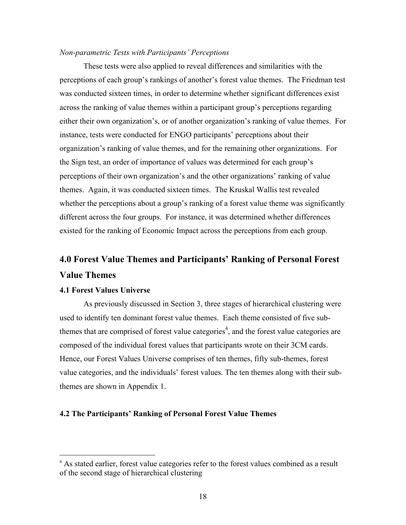#### *Non-parametric Tests with Participants' Perceptions*

These tests were also applied to reveal differences and similarities with the perceptions of each group's rankings of another's forest value themes. The Friedman test was conducted sixteen times, in order to determine whether significant differences exist across the ranking of value themes within a participant group's perceptions regarding either their own organization's, or of another organization's ranking of value themes. For instance, tests were conducted for ENGO participants' perceptions about their organization's ranking of value themes, and for the remaining other organizations. For the Sign test, an order of importance of values was determined for each group's perceptions of their own organization's and the other organizations' ranking of value themes. Again, it was conducted sixteen times. The Kruskal Wallis test revealed whether the perceptions about a group's ranking of a forest value theme was significantly different across the four groups. For instance, it was determined whether differences existed for the ranking of Economic Impact across the perceptions from each group.

## **4.0 Forest Value Themes and Participants' Ranking of Personal Forest Value Themes**

#### **4.1 Forest Values Universe**

 $\overline{a}$ 

As previously discussed in Section 3, three stages of hierarchical clustering were used to identify ten dominant forest value themes. Each theme consisted of five subthemes that are comprised of forest value categories<sup>4</sup>, and the forest value categories are composed of the individual forest values that participants wrote on their 3CM cards. Hence, our Forest Values Universe comprises of ten themes, fifty sub-themes, forest value categories, and the individuals' forest values. The ten themes along with their subthemes are shown in Appendix 1.

#### **4.2 The Participants' Ranking of Personal Forest Value Themes**

<sup>&</sup>lt;sup>4</sup> As stated earlier, forest value categories refer to the forest values combined as a result of the second stage of hierarchical clustering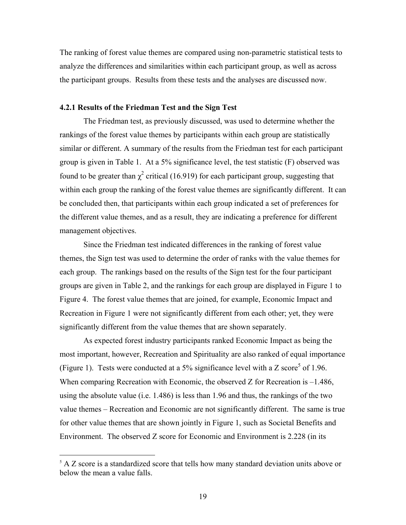The ranking of forest value themes are compared using non-parametric statistical tests to analyze the differences and similarities within each participant group, as well as across the participant groups. Results from these tests and the analyses are discussed now.

#### **4.2.1 Results of the Friedman Test and the Sign Test**

The Friedman test, as previously discussed, was used to determine whether the rankings of the forest value themes by participants within each group are statistically similar or different. A summary of the results from the Friedman test for each participant group is given in Table 1. At a 5% significance level, the test statistic (F) observed was found to be greater than  $\chi^2$  critical (16.919) for each participant group, suggesting that within each group the ranking of the forest value themes are significantly different. It can be concluded then, that participants within each group indicated a set of preferences for the different value themes, and as a result, they are indicating a preference for different management objectives.

Since the Friedman test indicated differences in the ranking of forest value themes, the Sign test was used to determine the order of ranks with the value themes for each group. The rankings based on the results of the Sign test for the four participant groups are given in Table 2, and the rankings for each group are displayed in Figure 1 to Figure 4. The forest value themes that are joined, for example, Economic Impact and Recreation in Figure 1 were not significantly different from each other; yet, they were significantly different from the value themes that are shown separately.

As expected forest industry participants ranked Economic Impact as being the most important, however, Recreation and Spirituality are also ranked of equal importance (Figure 1). Tests were conducted at a 5% significance level with a Z score<sup>5</sup> of 1.96. When comparing Recreation with Economic, the observed Z for Recreation is  $-1.486$ , using the absolute value (i.e. 1.486) is less than 1.96 and thus, the rankings of the two value themes – Recreation and Economic are not significantly different. The same is true for other value themes that are shown jointly in Figure 1, such as Societal Benefits and Environment. The observed Z score for Economic and Environment is 2.228 (in its

 $\overline{a}$ 

<sup>&</sup>lt;sup>5</sup> A Z score is a standardized score that tells how many standard deviation units above or below the mean a value falls.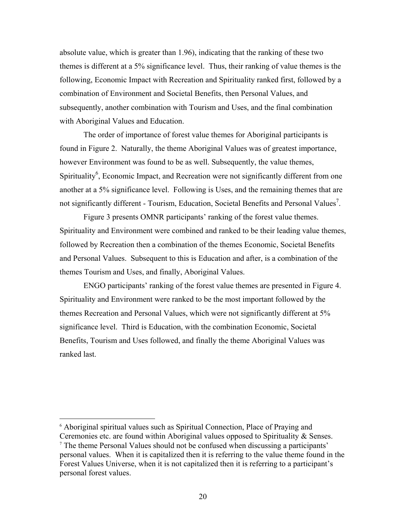absolute value, which is greater than 1.96), indicating that the ranking of these two themes is different at a 5% significance level. Thus, their ranking of value themes is the following, Economic Impact with Recreation and Spirituality ranked first, followed by a combination of Environment and Societal Benefits, then Personal Values, and subsequently, another combination with Tourism and Uses, and the final combination with Aboriginal Values and Education.

The order of importance of forest value themes for Aboriginal participants is found in Figure 2. Naturally, the theme Aboriginal Values was of greatest importance, however Environment was found to be as well. Subsequently, the value themes, Spirituality<sup>6</sup>, Economic Impact, and Recreation were not significantly different from one another at a 5% significance level. Following is Uses, and the remaining themes that are not significantly different - Tourism, Education, Societal Benefits and Personal Values<sup>7</sup>.

Figure 3 presents OMNR participants' ranking of the forest value themes. Spirituality and Environment were combined and ranked to be their leading value themes, followed by Recreation then a combination of the themes Economic, Societal Benefits and Personal Values. Subsequent to this is Education and after, is a combination of the themes Tourism and Uses, and finally, Aboriginal Values.

ENGO participants' ranking of the forest value themes are presented in Figure 4. Spirituality and Environment were ranked to be the most important followed by the themes Recreation and Personal Values, which were not significantly different at 5% significance level. Third is Education, with the combination Economic, Societal Benefits, Tourism and Uses followed, and finally the theme Aboriginal Values was ranked last.

 $\overline{a}$ 

<sup>&</sup>lt;sup>6</sup> Aboriginal spiritual values such as Spiritual Connection, Place of Praying and Ceremonies etc. are found within Aboriginal values opposed to Spirituality & Senses. <sup>7</sup> The theme Personal Values should not be confused when discussing a participants' personal values. When it is capitalized then it is referring to the value theme found in the Forest Values Universe, when it is not capitalized then it is referring to a participant's personal forest values.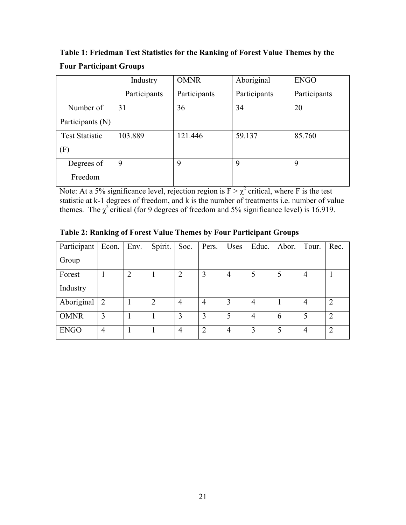**Table 1: Friedman Test Statistics for the Ranking of Forest Value Themes by the Four Participant Groups**

|                       | Industry     | <b>OMNR</b>  | Aboriginal   | <b>ENGO</b>  |
|-----------------------|--------------|--------------|--------------|--------------|
|                       | Participants | Participants | Participants | Participants |
| Number of             | 31           | 36           | 34           | 20           |
| Participants (N)      |              |              |              |              |
| <b>Test Statistic</b> | 103.889      | 121.446      | 59.137       | 85.760       |
| (F)                   |              |              |              |              |
| Degrees of            | 9            | 9            | 9            | 9            |
| Freedom               |              |              |              |              |

Note: At a 5% significance level, rejection region is  $F > \chi^2$  critical, where F is the test statistic at k-1 degrees of freedom, and k is the number of treatments i.e. number of value themes. The  $\chi^2$  critical (for 9 degrees of freedom and 5% significance level) is 16.919.

|  | <b>Table 2: Ranking of Forest Value Themes by Four Participant Groups</b> |
|--|---------------------------------------------------------------------------|
|  |                                                                           |

| Participant | Econ.          | Env. | Spirit. | Soc.           | Pers.          | Uses | Educ.          | Abor. | Tour.          | Rec.           |
|-------------|----------------|------|---------|----------------|----------------|------|----------------|-------|----------------|----------------|
| Group       |                |      |         |                |                |      |                |       |                |                |
| Forest      |                | ↑    |         | $\overline{2}$ | 3              | 4    | 5              |       | $\overline{4}$ |                |
| Industry    |                |      |         |                |                |      |                |       |                |                |
| Aboriginal  | 2              |      | າ       | $\overline{4}$ | $\overline{4}$ | 3    | 4              |       | $\overline{4}$ | $\overline{2}$ |
| <b>OMNR</b> | 3              |      |         | 3              | 3              | 5    | $\overline{4}$ | 6     | 5              | $\overline{2}$ |
| <b>ENGO</b> | $\overline{4}$ |      |         | $\overline{4}$ | $\overline{2}$ | 4    | 3              |       | 4              | $\overline{2}$ |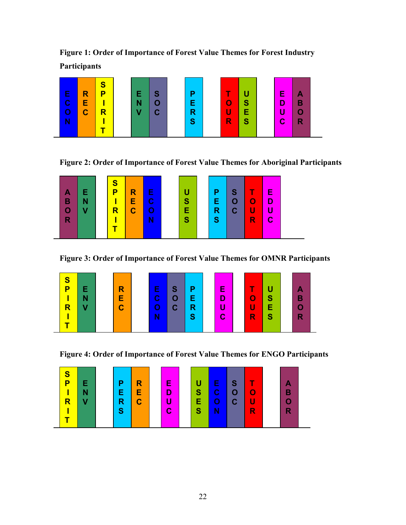**Figure 1: Order of Importance of Forest Value Themes for Forest Industry Participants** 



**Figure 2: Order of Importance of Forest Value Themes for Aboriginal Participants** 



**Figure 3: Order of Importance of Forest Value Themes for OMNR Participants** 

| S<br>Е<br>S<br>P<br>Е<br>R<br>$\mathbf C$<br>N<br>Е<br>O<br>$\mathbf C$<br>$\mathbf C$<br>$\overline{\mathsf{R}}$<br>v | E<br>Ρ<br>D<br>Е<br>п<br>R<br><sub>S</sub><br><b>C</b> | T<br>$\overline{O}$<br>S<br>u<br>E<br>R<br>S | В<br>R |
|------------------------------------------------------------------------------------------------------------------------|--------------------------------------------------------|----------------------------------------------|--------|
|------------------------------------------------------------------------------------------------------------------------|--------------------------------------------------------|----------------------------------------------|--------|

**Figure 4: Order of Importance of Forest Value Themes for ENGO Participants** 

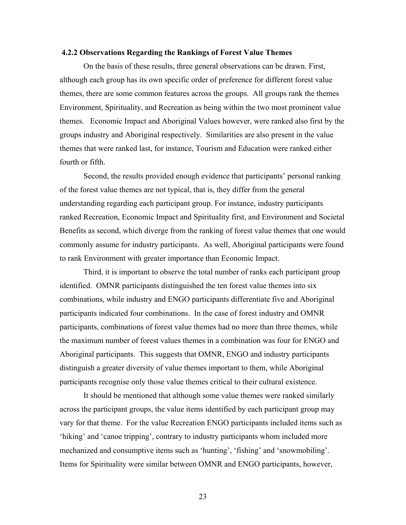#### **4.2.2 Observations Regarding the Rankings of Forest Value Themes**

On the basis of these results, three general observations can be drawn. First, although each group has its own specific order of preference for different forest value themes, there are some common features across the groups. All groups rank the themes Environment, Spirituality, and Recreation as being within the two most prominent value themes. Economic Impact and Aboriginal Values however, were ranked also first by the groups industry and Aboriginal respectively. Similarities are also present in the value themes that were ranked last, for instance, Tourism and Education were ranked either fourth or fifth.

Second, the results provided enough evidence that participants' personal ranking of the forest value themes are not typical, that is, they differ from the general understanding regarding each participant group. For instance, industry participants ranked Recreation, Economic Impact and Spirituality first, and Environment and Societal Benefits as second, which diverge from the ranking of forest value themes that one would commonly assume for industry participants. As well, Aboriginal participants were found to rank Environment with greater importance than Economic Impact.

Third, it is important to observe the total number of ranks each participant group identified. OMNR participants distinguished the ten forest value themes into six combinations, while industry and ENGO participants differentiate five and Aboriginal participants indicated four combinations. In the case of forest industry and OMNR participants, combinations of forest value themes had no more than three themes, while the maximum number of forest values themes in a combination was four for ENGO and Aboriginal participants. This suggests that OMNR, ENGO and industry participants distinguish a greater diversity of value themes important to them, while Aboriginal participants recognise only those value themes critical to their cultural existence.

It should be mentioned that although some value themes were ranked similarly across the participant groups, the value items identified by each participant group may vary for that theme. For the value Recreation ENGO participants included items such as 'hiking' and 'canoe tripping', contrary to industry participants whom included more mechanized and consumptive items such as 'hunting', 'fishing' and 'snowmobiling'. Items for Spirituality were similar between OMNR and ENGO participants, however,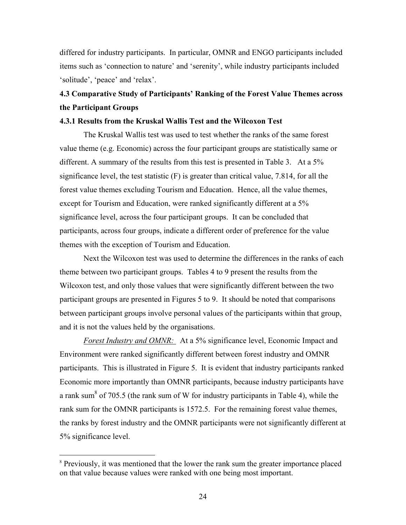differed for industry participants. In particular, OMNR and ENGO participants included items such as 'connection to nature' and 'serenity', while industry participants included 'solitude', 'peace' and 'relax'.

## **4.3 Comparative Study of Participants' Ranking of the Forest Value Themes across the Participant Groups**

#### **4.3.1 Results from the Kruskal Wallis Test and the Wilcoxon Test**

The Kruskal Wallis test was used to test whether the ranks of the same forest value theme (e.g. Economic) across the four participant groups are statistically same or different. A summary of the results from this test is presented in Table 3. At a 5% significance level, the test statistic (F) is greater than critical value, 7.814, for all the forest value themes excluding Tourism and Education. Hence, all the value themes, except for Tourism and Education, were ranked significantly different at a 5% significance level, across the four participant groups. It can be concluded that participants, across four groups, indicate a different order of preference for the value themes with the exception of Tourism and Education.

Next the Wilcoxon test was used to determine the differences in the ranks of each theme between two participant groups. Tables 4 to 9 present the results from the Wilcoxon test, and only those values that were significantly different between the two participant groups are presented in Figures 5 to 9. It should be noted that comparisons between participant groups involve personal values of the participants within that group, and it is not the values held by the organisations.

*Forest Industry and OMNR:* At a 5% significance level, Economic Impact and Environment were ranked significantly different between forest industry and OMNR participants. This is illustrated in Figure 5. It is evident that industry participants ranked Economic more importantly than OMNR participants, because industry participants have a rank sum<sup>8</sup> of 705.5 (the rank sum of W for industry participants in Table 4), while the rank sum for the OMNR participants is 1572.5. For the remaining forest value themes, the ranks by forest industry and the OMNR participants were not significantly different at 5% significance level.

 $\overline{a}$ 

<sup>&</sup>lt;sup>8</sup> Previously, it was mentioned that the lower the rank sum the greater importance placed on that value because values were ranked with one being most important.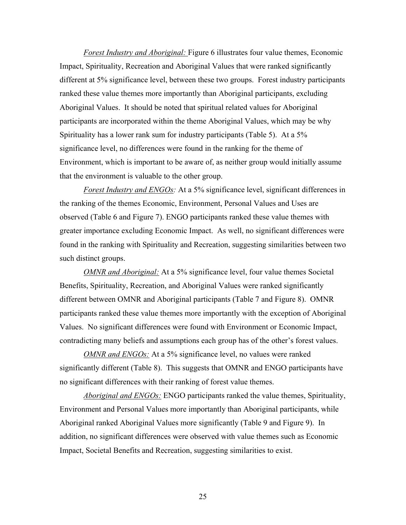*Forest Industry and Aboriginal:* Figure 6 illustrates four value themes, Economic Impact, Spirituality, Recreation and Aboriginal Values that were ranked significantly different at 5% significance level, between these two groups. Forest industry participants ranked these value themes more importantly than Aboriginal participants, excluding Aboriginal Values. It should be noted that spiritual related values for Aboriginal participants are incorporated within the theme Aboriginal Values, which may be why Spirituality has a lower rank sum for industry participants (Table 5). At a 5% significance level, no differences were found in the ranking for the theme of Environment, which is important to be aware of, as neither group would initially assume that the environment is valuable to the other group.

*Forest Industry and ENGOs:* At a 5% significance level, significant differences in the ranking of the themes Economic, Environment, Personal Values and Uses are observed (Table 6 and Figure 7). ENGO participants ranked these value themes with greater importance excluding Economic Impact. As well, no significant differences were found in the ranking with Spirituality and Recreation, suggesting similarities between two such distinct groups.

*OMNR and Aboriginal:* At a 5% significance level, four value themes Societal Benefits, Spirituality, Recreation, and Aboriginal Values were ranked significantly different between OMNR and Aboriginal participants (Table 7 and Figure 8). OMNR participants ranked these value themes more importantly with the exception of Aboriginal Values. No significant differences were found with Environment or Economic Impact, contradicting many beliefs and assumptions each group has of the other's forest values.

*OMNR and ENGOs:* At a 5% significance level, no values were ranked significantly different (Table 8). This suggests that OMNR and ENGO participants have no significant differences with their ranking of forest value themes.

*Aboriginal and ENGOs:* ENGO participants ranked the value themes, Spirituality, Environment and Personal Values more importantly than Aboriginal participants, while Aboriginal ranked Aboriginal Values more significantly (Table 9 and Figure 9). In addition, no significant differences were observed with value themes such as Economic Impact, Societal Benefits and Recreation, suggesting similarities to exist.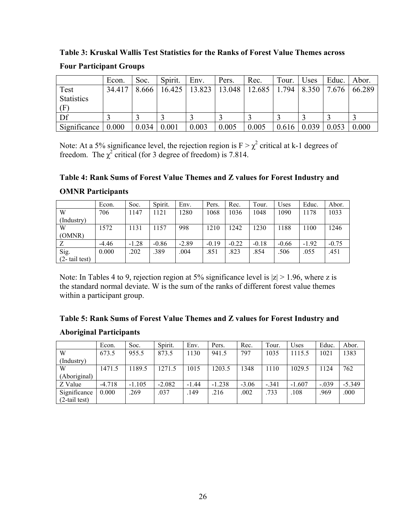**Table 3: Kruskal Wallis Test Statistics for the Ranks of Forest Value Themes across Four Participant Groups** 

|                               | Econ.  | Soc.  | Spirit. | Env.  | Pers.                | Rec.   | Tour. | Uses  | Educ. | Abor.  |
|-------------------------------|--------|-------|---------|-------|----------------------|--------|-------|-------|-------|--------|
| Test                          | 34.417 | 8.666 | 16.425  |       | $13.823 \mid 13.048$ | 12.685 | 1.794 | 8.350 | 7.676 | 66.289 |
| <b>Statistics</b><br>$\Gamma$ |        |       |         |       |                      |        |       |       |       |        |
| Df                            |        |       |         |       |                      |        |       |       |       |        |
| Significance                  | 0.000  | 0.034 | 0.001   | 0.003 | 0.005                | 0.005  | 0.616 | 0.039 | 0.053 | 0.000  |

Note: At a 5% significance level, the rejection region is  $F > \chi^2$  critical at k-1 degrees of freedom. The  $\chi^2$  critical (for 3 degree of freedom) is 7.814.

## **Table 4: Rank Sums of Forest Value Themes and Z values for Forest Industry and OMNR Participants**

|                   | Econ.   | Soc.    | Spirit. | Env.    | Pers.   | Rec.    | Tour.   | Uses    | Educ.   | Abor.   |
|-------------------|---------|---------|---------|---------|---------|---------|---------|---------|---------|---------|
| W                 | 706     | 1147    | 1121    | 1280    | 1068    | 1036    | 1048    | 1090    | 1178    | 1033    |
| (Industry)        |         |         |         |         |         |         |         |         |         |         |
| W                 | 1572    | 1131    | 1157    | 998     | 1210    | 1242    | 1230    | 1188    | 1100    | 1246    |
| (OMNR)            |         |         |         |         |         |         |         |         |         |         |
|                   | $-4.46$ | $-1.28$ | $-0.86$ | $-2.89$ | $-0.19$ | $-0.22$ | $-0.18$ | $-0.66$ | $-1.92$ | $-0.75$ |
| Sig.              | 0.000   | .202    | .389    | .004    | .851    | .823    | .854    | .506    | .055    | .451    |
| $(2 - tail test)$ |         |         |         |         |         |         |         |         |         |         |

Note: In Tables 4 to 9, rejection region at 5% significance level is  $|z| > 1.96$ , where z is the standard normal deviate. W is the sum of the ranks of different forest value themes within a participant group.

| Table 5: Rank Sums of Forest Value Themes and Z values for Forest Industry and |  |
|--------------------------------------------------------------------------------|--|
| <b>Aboriginal Participants</b>                                                 |  |

|                 | Econ.    | Soc.     | Spirit.  | Env.    | Pers.    | Rec.    | Tour.   | Uses     | Educ.   | Abor.    |
|-----------------|----------|----------|----------|---------|----------|---------|---------|----------|---------|----------|
| W               | 673.5    | 955.5    | 873.5    | 1130    | 941.5    | 797     | 1035    | 1115.5   | 1021    | 1383     |
| (Industry)      |          |          |          |         |          |         |         |          |         |          |
| W               | 1471.5   | 1189.5   | 1271.5   | 1015    | 1203.5   | 1348    | 1110    | 1029.5   | 1124    | 762      |
| (Aboriginal)    |          |          |          |         |          |         |         |          |         |          |
| Z Value         | $-4.718$ | $-1.105$ | $-2.082$ | $-1.44$ | $-1.238$ | $-3.06$ | $-.341$ | $-1.607$ | $-.039$ | $-5.349$ |
| Significance    | 0.000    | .269     | .037     | .149    | .216     | .002    | .733    | .108     | .969    | .000     |
| $(2-tail test)$ |          |          |          |         |          |         |         |          |         |          |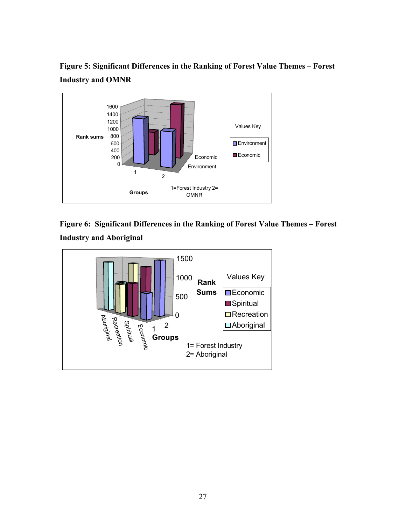**Figure 5: Significant Differences in the Ranking of Forest Value Themes – Forest Industry and OMNR** 



**Figure 6: Significant Differences in the Ranking of Forest Value Themes – Forest Industry and Aboriginal** 

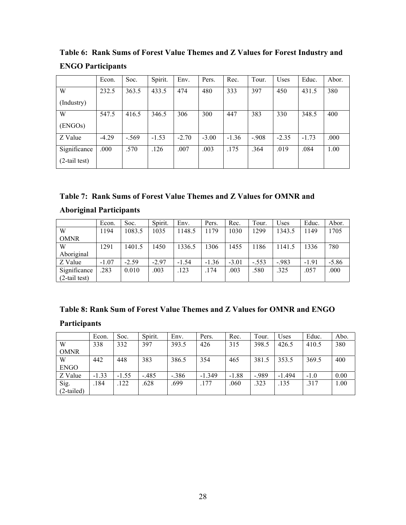|                 | Econ.   | Soc.    | Spirit. | Env.    | Pers.   | Rec.    | Tour.  | <b>Uses</b> | Educ.   | Abor. |
|-----------------|---------|---------|---------|---------|---------|---------|--------|-------------|---------|-------|
| W               | 232.5   | 363.5   | 433.5   | 474     | 480     | 333     | 397    | 450         | 431.5   | 380   |
| (Industry)      |         |         |         |         |         |         |        |             |         |       |
| W               | 547.5   | 416.5   | 346.5   | 306     | 300     | 447     | 383    | 330         | 348.5   | 400   |
| (ENGOs)         |         |         |         |         |         |         |        |             |         |       |
| Z Value         | $-4.29$ | $-.569$ | $-1.53$ | $-2.70$ | $-3.00$ | $-1.36$ | $-908$ | $-2.35$     | $-1.73$ | .000  |
| Significance    | .000    | .570    | .126    | .007    | .003    | .175    | .364   | .019        | .084    | 1.00  |
| $(2-tail test)$ |         |         |         |         |         |         |        |             |         |       |

**Table 6: Rank Sums of Forest Value Themes and Z Values for Forest Industry and ENGO Participants** 

| Table 7: Rank Sums of Forest Value Themes and Z Values for OMNR and |  |
|---------------------------------------------------------------------|--|
|---------------------------------------------------------------------|--|

## **Aboriginal Participants**

|                  | Econ.   | Soc.    | Spirit. | Env.    | Pers.   | Rec.    | Tour.   | Uses   | Educ.   | Abor.   |
|------------------|---------|---------|---------|---------|---------|---------|---------|--------|---------|---------|
| W                | 1194    | 1083.5  | 1035    | 1148.5  | 1179    | 1030    | 1299    | 1343.5 | 1149    | 1705    |
| <b>OMNR</b>      |         |         |         |         |         |         |         |        |         |         |
| W                | 1291    | 1401.5  | 1450    | 1336.5  | 306     | 1455    | 1186    | 1141.5 | 1336    | 780     |
| Aboriginal       |         |         |         |         |         |         |         |        |         |         |
| Z Value          | $-1.07$ | $-2.59$ | $-2.97$ | $-1.54$ | $-1.36$ | $-3.01$ | $-.553$ | $-983$ | $-1.91$ | $-5.86$ |
| Significance     | .283    | 0.010   | .003    | .123    | .174    | .003    | .580    | .325   | .057    | .000    |
| $(2$ -tail test) |         |         |         |         |         |         |         |        |         |         |

## **Table 8: Rank Sum of Forest Value Themes and Z Values for OMNR and ENGO**

## **Participants**

|              | Econ.   | Soc.    | Spirit. | Env.    | Pers.    | Rec.    | Tour.  | <b>Jses</b> | Educ.  | Abo. |
|--------------|---------|---------|---------|---------|----------|---------|--------|-------------|--------|------|
| W            | 338     | 332     | 397     | 393.5   | 426      | 315     | 398.5  | 426.5       | 410.5  | 380  |
| <b>OMNR</b>  |         |         |         |         |          |         |        |             |        |      |
| W            | 442     | 448     | 383     | 386.5   | 354      | 465     | 381.5  | 353.5       | 369.5  | 400  |
| <b>ENGO</b>  |         |         |         |         |          |         |        |             |        |      |
| Z Value      | $-1.33$ | $-1.55$ | $-485$  | $-.386$ | $-1.349$ | $-1.88$ | $-989$ | $-1.494$    | $-1.0$ | 0.00 |
| Sig.         | .184    | .122    | .628    | .699    | 177      | .060    | .323   | .135        | 317    | 1.00 |
| $(2-tailed)$ |         |         |         |         |          |         |        |             |        |      |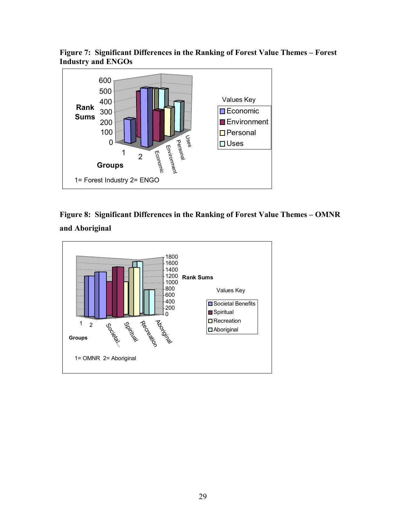**Figure 7: Significant Differences in the Ranking of Forest Value Themes – Forest Industry and ENGOs** 





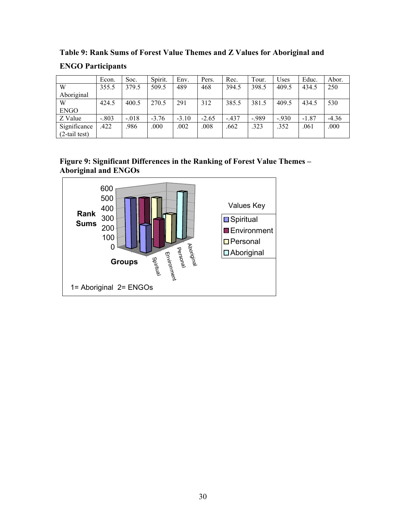|                  | Econ.   | Soc.    | Spirit. | Env.    | Pers.   | Rec.   | Tour.  | Uses   | Educ.   | Abor.   |
|------------------|---------|---------|---------|---------|---------|--------|--------|--------|---------|---------|
| W                | 355.5   | 379.5   | 509.5   | 489     | 468     | 394.5  | 398.5  | 409.5  | 434.5   | 250     |
| Aboriginal       |         |         |         |         |         |        |        |        |         |         |
| W                | 424.5   | 400.5   | 270.5   | 291     | 312     | 385.5  | 381.5  | 409.5  | 434.5   | 530     |
| <b>ENGO</b>      |         |         |         |         |         |        |        |        |         |         |
| Z Value          | $-.803$ | $-.018$ | $-3.76$ | $-3.10$ | $-2.65$ | $-437$ | $-989$ | $-930$ | $-1.87$ | $-4.36$ |
| Significance     | .422    | .986    | .000    | .002    | .008    | .662   | .323   | .352   | .061    | .000    |
| $(2$ -tail test) |         |         |         |         |         |        |        |        |         |         |

**Table 9: Rank Sums of Forest Value Themes and Z Values for Aboriginal and ENGO Participants** 

#### **Figure 9: Significant Differences in the Ranking of Forest Value Themes – Aboriginal and ENGOs**

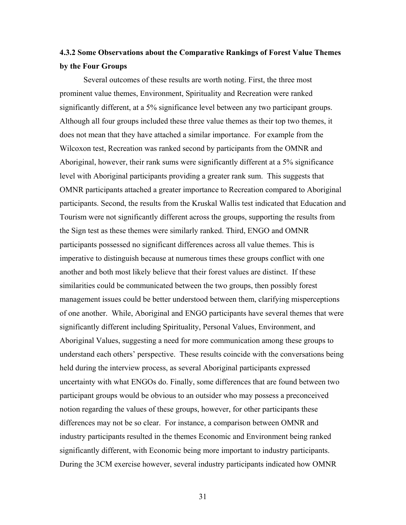## **4.3.2 Some Observations about the Comparative Rankings of Forest Value Themes by the Four Groups**

Several outcomes of these results are worth noting. First, the three most prominent value themes, Environment, Spirituality and Recreation were ranked significantly different, at a 5% significance level between any two participant groups. Although all four groups included these three value themes as their top two themes, it does not mean that they have attached a similar importance. For example from the Wilcoxon test, Recreation was ranked second by participants from the OMNR and Aboriginal, however, their rank sums were significantly different at a 5% significance level with Aboriginal participants providing a greater rank sum. This suggests that OMNR participants attached a greater importance to Recreation compared to Aboriginal participants. Second, the results from the Kruskal Wallis test indicated that Education and Tourism were not significantly different across the groups, supporting the results from the Sign test as these themes were similarly ranked. Third, ENGO and OMNR participants possessed no significant differences across all value themes. This is imperative to distinguish because at numerous times these groups conflict with one another and both most likely believe that their forest values are distinct. If these similarities could be communicated between the two groups, then possibly forest management issues could be better understood between them, clarifying misperceptions of one another. While, Aboriginal and ENGO participants have several themes that were significantly different including Spirituality, Personal Values, Environment, and Aboriginal Values, suggesting a need for more communication among these groups to understand each others' perspective. These results coincide with the conversations being held during the interview process, as several Aboriginal participants expressed uncertainty with what ENGOs do. Finally, some differences that are found between two participant groups would be obvious to an outsider who may possess a preconceived notion regarding the values of these groups, however, for other participants these differences may not be so clear. For instance, a comparison between OMNR and industry participants resulted in the themes Economic and Environment being ranked significantly different, with Economic being more important to industry participants. During the 3CM exercise however, several industry participants indicated how OMNR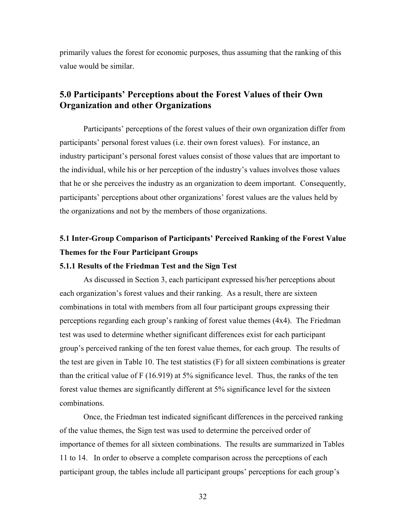primarily values the forest for economic purposes, thus assuming that the ranking of this value would be similar.

## **5.0 Participants' Perceptions about the Forest Values of their Own Organization and other Organizations**

Participants' perceptions of the forest values of their own organization differ from participants' personal forest values (i.e. their own forest values). For instance, an industry participant's personal forest values consist of those values that are important to the individual, while his or her perception of the industry's values involves those values that he or she perceives the industry as an organization to deem important. Consequently, participants' perceptions about other organizations' forest values are the values held by the organizations and not by the members of those organizations.

## **5.1 Inter-Group Comparison of Participants' Perceived Ranking of the Forest Value Themes for the Four Participant Groups**

#### **5.1.1 Results of the Friedman Test and the Sign Test**

As discussed in Section 3, each participant expressed his/her perceptions about each organization's forest values and their ranking. As a result, there are sixteen combinations in total with members from all four participant groups expressing their perceptions regarding each group's ranking of forest value themes (4x4). The Friedman test was used to determine whether significant differences exist for each participant group's perceived ranking of the ten forest value themes, for each group. The results of the test are given in Table 10. The test statistics (F) for all sixteen combinations is greater than the critical value of F (16.919) at 5% significance level. Thus, the ranks of the ten forest value themes are significantly different at 5% significance level for the sixteen combinations.

Once, the Friedman test indicated significant differences in the perceived ranking of the value themes, the Sign test was used to determine the perceived order of importance of themes for all sixteen combinations. The results are summarized in Tables 11 to 14. In order to observe a complete comparison across the perceptions of each participant group, the tables include all participant groups' perceptions for each group's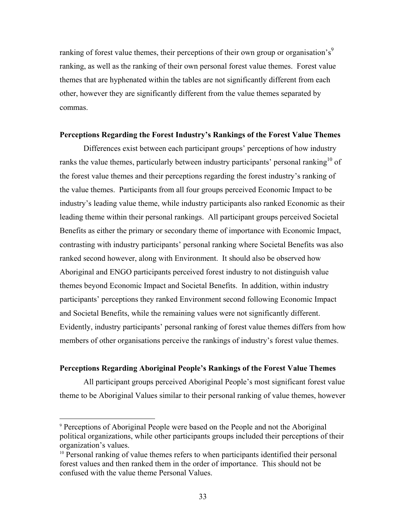ranking of forest value themes, their perceptions of their own group or organisation's $9$ ranking, as well as the ranking of their own personal forest value themes. Forest value themes that are hyphenated within the tables are not significantly different from each other, however they are significantly different from the value themes separated by commas.

#### **Perceptions Regarding the Forest Industry's Rankings of the Forest Value Themes**

Differences exist between each participant groups' perceptions of how industry ranks the value themes, particularly between industry participants' personal ranking<sup>10</sup> of the forest value themes and their perceptions regarding the forest industry's ranking of the value themes. Participants from all four groups perceived Economic Impact to be industry's leading value theme, while industry participants also ranked Economic as their leading theme within their personal rankings. All participant groups perceived Societal Benefits as either the primary or secondary theme of importance with Economic Impact, contrasting with industry participants' personal ranking where Societal Benefits was also ranked second however, along with Environment. It should also be observed how Aboriginal and ENGO participants perceived forest industry to not distinguish value themes beyond Economic Impact and Societal Benefits. In addition, within industry participants' perceptions they ranked Environment second following Economic Impact and Societal Benefits, while the remaining values were not significantly different. Evidently, industry participants' personal ranking of forest value themes differs from how members of other organisations perceive the rankings of industry's forest value themes.

#### **Perceptions Regarding Aboriginal People's Rankings of the Forest Value Themes**

 All participant groups perceived Aboriginal People's most significant forest value theme to be Aboriginal Values similar to their personal ranking of value themes, however

 $\overline{a}$ 

<sup>9</sup> Perceptions of Aboriginal People were based on the People and not the Aboriginal political organizations, while other participants groups included their perceptions of their organization's values.

<sup>&</sup>lt;sup>10</sup> Personal ranking of value themes refers to when participants identified their personal forest values and then ranked them in the order of importance. This should not be confused with the value theme Personal Values.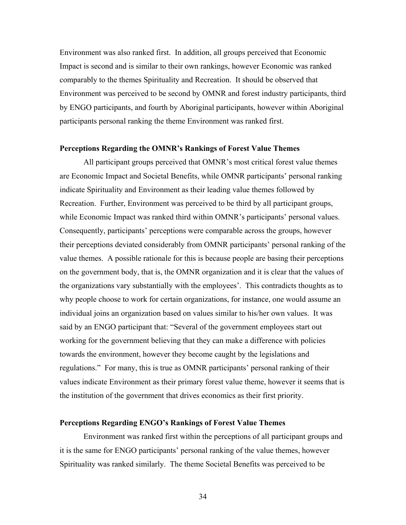Environment was also ranked first. In addition, all groups perceived that Economic Impact is second and is similar to their own rankings, however Economic was ranked comparably to the themes Spirituality and Recreation. It should be observed that Environment was perceived to be second by OMNR and forest industry participants, third by ENGO participants, and fourth by Aboriginal participants, however within Aboriginal participants personal ranking the theme Environment was ranked first.

#### **Perceptions Regarding the OMNR's Rankings of Forest Value Themes**

All participant groups perceived that OMNR's most critical forest value themes are Economic Impact and Societal Benefits, while OMNR participants' personal ranking indicate Spirituality and Environment as their leading value themes followed by Recreation. Further, Environment was perceived to be third by all participant groups, while Economic Impact was ranked third within OMNR's participants' personal values. Consequently, participants' perceptions were comparable across the groups, however their perceptions deviated considerably from OMNR participants' personal ranking of the value themes. A possible rationale for this is because people are basing their perceptions on the government body, that is, the OMNR organization and it is clear that the values of the organizations vary substantially with the employees'. This contradicts thoughts as to why people choose to work for certain organizations, for instance, one would assume an individual joins an organization based on values similar to his/her own values. It was said by an ENGO participant that: "Several of the government employees start out working for the government believing that they can make a difference with policies towards the environment, however they become caught by the legislations and regulations." For many, this is true as OMNR participants' personal ranking of their values indicate Environment as their primary forest value theme, however it seems that is the institution of the government that drives economics as their first priority.

#### **Perceptions Regarding ENGO's Rankings of Forest Value Themes**

Environment was ranked first within the perceptions of all participant groups and it is the same for ENGO participants' personal ranking of the value themes, however Spirituality was ranked similarly. The theme Societal Benefits was perceived to be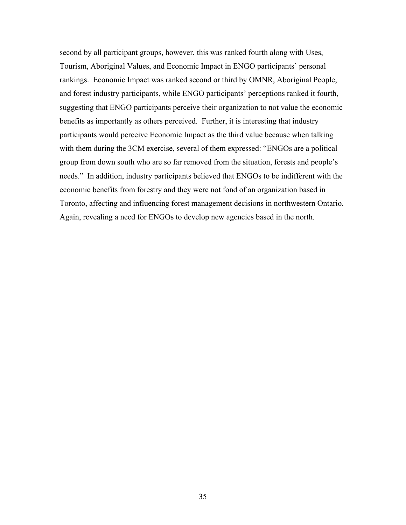second by all participant groups, however, this was ranked fourth along with Uses, Tourism, Aboriginal Values, and Economic Impact in ENGO participants' personal rankings. Economic Impact was ranked second or third by OMNR, Aboriginal People, and forest industry participants, while ENGO participants' perceptions ranked it fourth, suggesting that ENGO participants perceive their organization to not value the economic benefits as importantly as others perceived. Further, it is interesting that industry participants would perceive Economic Impact as the third value because when talking with them during the 3CM exercise, several of them expressed: "ENGOs are a political group from down south who are so far removed from the situation, forests and people's needs." In addition, industry participants believed that ENGOs to be indifferent with the economic benefits from forestry and they were not fond of an organization based in Toronto, affecting and influencing forest management decisions in northwestern Ontario. Again, revealing a need for ENGOs to develop new agencies based in the north.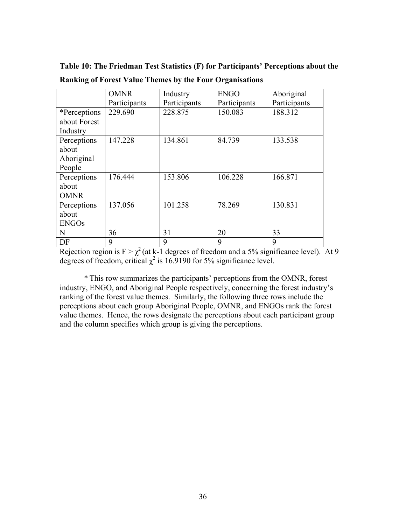|              | <b>OMNR</b>  | Industry     | <b>ENGO</b>  | Aboriginal   |
|--------------|--------------|--------------|--------------|--------------|
|              | Participants | Participants | Participants | Participants |
| *Perceptions | 229.690      | 228.875      | 150.083      | 188.312      |
| about Forest |              |              |              |              |
| Industry     |              |              |              |              |
| Perceptions  | 147.228      | 134.861      | 84.739       | 133.538      |
| about        |              |              |              |              |
| Aboriginal   |              |              |              |              |
| People       |              |              |              |              |
| Perceptions  | 176.444      | 153.806      | 106.228      | 166.871      |
| about        |              |              |              |              |
| <b>OMNR</b>  |              |              |              |              |
| Perceptions  | 137.056      | 101.258      | 78.269       | 130.831      |
| about        |              |              |              |              |
| <b>ENGOs</b> |              |              |              |              |
| N            | 36           | 31           | 20           | 33           |
| DF           | 9            | 9            | 9            | 9            |

**Table 10: The Friedman Test Statistics (F) for Participants' Perceptions about the Ranking of Forest Value Themes by the Four Organisations** 

Rejection region is  $F > \chi^2$  (at k-1 degrees of freedom and a 5% significance level). At 9 degrees of freedom, critical  $\chi^2$  is 16.9190 for 5% significance level.

*\** This row summarizes the participants' perceptions from the OMNR, forest industry, ENGO, and Aboriginal People respectively, concerning the forest industry's ranking of the forest value themes. Similarly, the following three rows include the perceptions about each group Aboriginal People, OMNR, and ENGOs rank the forest value themes. Hence, the rows designate the perceptions about each participant group and the column specifies which group is giving the perceptions.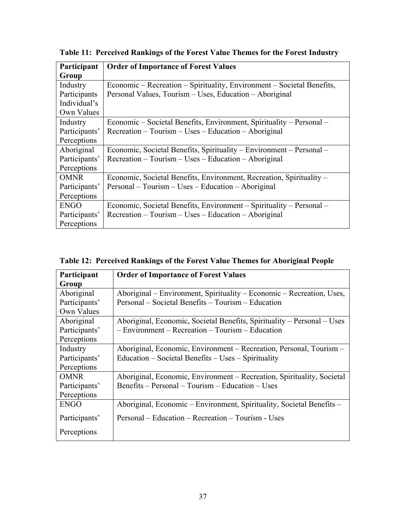| Participant   | <b>Order of Importance of Forest Values</b>                            |
|---------------|------------------------------------------------------------------------|
| Group         |                                                                        |
| Industry      | Economic – Recreation – Spirituality, Environment – Societal Benefits, |
| Participants  | Personal Values, Tourism - Uses, Education - Aboriginal                |
| Individual's  |                                                                        |
| Own Values    |                                                                        |
| Industry      | Economic – Societal Benefits, Environment, Spirituality – Personal –   |
| Participants' | $Receration - Tourism - Uses - Education - Aboriginal$                 |
| Perceptions   |                                                                        |
| Aboriginal    | Economic, Societal Benefits, Spirituality – Environment – Personal –   |
| Participants' | $Receration - Tourism - Uses - Education - Aboriginal$                 |
| Perceptions   |                                                                        |
| <b>OMNR</b>   | Economic, Societal Benefits, Environment, Recreation, Spirituality –   |
| Participants' | Personal – Tourism – Uses – Education – Aboriginal                     |
| Perceptions   |                                                                        |
| <b>ENGO</b>   | Economic, Societal Benefits, Environment - Spirituality - Personal -   |
| Participants' | $Receration - Tourism - Uses - Education - Aboriginal$                 |
| Perceptions   |                                                                        |

**Table 11: Perceived Rankings of the Forest Value Themes for the Forest Industry** 

| Participant   | <b>Order of Importance of Forest Values</b>                             |
|---------------|-------------------------------------------------------------------------|
| Group         |                                                                         |
| Aboriginal    | Aboriginal – Environment, Spirituality – Economic – Recreation, Uses,   |
| Participants' | Personal – Societal Benefits – Tourism – Education                      |
| Own Values    |                                                                         |
| Aboriginal    | Aboriginal, Economic, Societal Benefits, Spirituality – Personal – Uses |
| Participants' | - Environment - Recreation - Tourism - Education                        |
| Perceptions   |                                                                         |
| Industry      | Aboriginal, Economic, Environment – Recreation, Personal, Tourism –     |
| Participants' | Education – Societal Benefits – Uses – Spirituality                     |
| Perceptions   |                                                                         |
| <b>OMNR</b>   | Aboriginal, Economic, Environment – Recreation, Spirituality, Societal  |
| Participants' | Benefits – Personal – Tourism – Education – Uses                        |
| Perceptions   |                                                                         |
| <b>ENGO</b>   | Aboriginal, Economic – Environment, Spirituality, Societal Benefits –   |
| Participants' | Personal – Education – Recreation – Tourism - Uses                      |
| Perceptions   |                                                                         |

**Table 12: Perceived Rankings of the Forest Value Themes for Aboriginal People**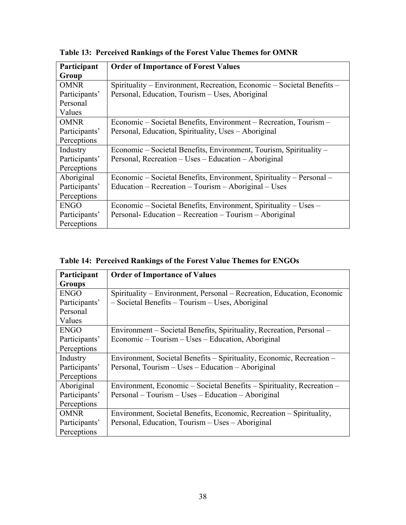| Participant   | <b>Order of Importance of Forest Values</b>                            |
|---------------|------------------------------------------------------------------------|
| Group         |                                                                        |
| <b>OMNR</b>   | Spirituality – Environment, Recreation, Economic – Societal Benefits – |
| Participants' | Personal, Education, Tourism – Uses, Aboriginal                        |
| Personal      |                                                                        |
| Values        |                                                                        |
| <b>OMNR</b>   | Economic – Societal Benefits, Environment – Recreation, Tourism –      |
| Participants' | Personal, Education, Spirituality, Uses - Aboriginal                   |
| Perceptions   |                                                                        |
| Industry      | Economic – Societal Benefits, Environment, Tourism, Spirituality –     |
| Participants' | Personal, Recreation – Uses – Education – Aboriginal                   |
| Perceptions   |                                                                        |
| Aboriginal    | Economic – Societal Benefits, Environment, Spirituality – Personal –   |
| Participants' | Education – Recreation – Tourism – Aboriginal – Uses                   |
| Perceptions   |                                                                        |
| <b>ENGO</b>   | Economic – Societal Benefits, Environment, Spirituality – Uses –       |
| Participants' | Personal- Education – Recreation – Tourism – Aboriginal                |
| Perceptions   |                                                                        |

**Table 13: Perceived Rankings of the Forest Value Themes for OMNR** 

**Table 14: Perceived Rankings of the Forest Value Themes for ENGOs** 

| Participant   | <b>Order of Importance of Values</b>                                   |
|---------------|------------------------------------------------------------------------|
| <b>Groups</b> |                                                                        |
| <b>ENGO</b>   | Spirituality – Environment, Personal – Recreation, Education, Economic |
| Participants' | - Societal Benefits - Tourism - Uses, Aboriginal                       |
| Personal      |                                                                        |
| Values        |                                                                        |
| <b>ENGO</b>   | Environment – Societal Benefits, Spirituality, Recreation, Personal –  |
| Participants' | Economic – Tourism – Uses – Education, Aboriginal                      |
| Perceptions   |                                                                        |
| Industry      | Environment, Societal Benefits – Spirituality, Economic, Recreation –  |
| Participants' | Personal, Tourism – Uses – Education – Aboriginal                      |
| Perceptions   |                                                                        |
| Aboriginal    | Environment, Economic - Societal Benefits - Spirituality, Recreation - |
| Participants' | Personal – Tourism – Uses – Education – Aboriginal                     |
| Perceptions   |                                                                        |
| <b>OMNR</b>   | Environment, Societal Benefits, Economic, Recreation – Spirituality,   |
| Participants' | Personal, Education, Tourism – Uses – Aboriginal                       |
| Perceptions   |                                                                        |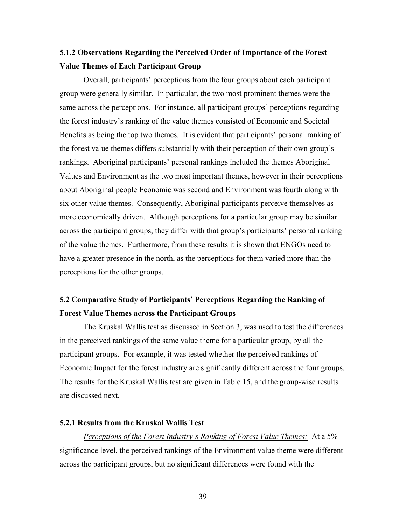## **5.1.2 Observations Regarding the Perceived Order of Importance of the Forest Value Themes of Each Participant Group**

Overall, participants' perceptions from the four groups about each participant group were generally similar. In particular, the two most prominent themes were the same across the perceptions. For instance, all participant groups' perceptions regarding the forest industry's ranking of the value themes consisted of Economic and Societal Benefits as being the top two themes. It is evident that participants' personal ranking of the forest value themes differs substantially with their perception of their own group's rankings. Aboriginal participants' personal rankings included the themes Aboriginal Values and Environment as the two most important themes, however in their perceptions about Aboriginal people Economic was second and Environment was fourth along with six other value themes. Consequently, Aboriginal participants perceive themselves as more economically driven. Although perceptions for a particular group may be similar across the participant groups, they differ with that group's participants' personal ranking of the value themes. Furthermore, from these results it is shown that ENGOs need to have a greater presence in the north, as the perceptions for them varied more than the perceptions for the other groups.

## **5.2 Comparative Study of Participants' Perceptions Regarding the Ranking of Forest Value Themes across the Participant Groups**

 The Kruskal Wallis test as discussed in Section 3, was used to test the differences in the perceived rankings of the same value theme for a particular group, by all the participant groups. For example, it was tested whether the perceived rankings of Economic Impact for the forest industry are significantly different across the four groups. The results for the Kruskal Wallis test are given in Table 15, and the group-wise results are discussed next.

#### **5.2.1 Results from the Kruskal Wallis Test**

*Perceptions of the Forest Industry's Ranking of Forest Value Themes:* At a 5% significance level, the perceived rankings of the Environment value theme were different across the participant groups, but no significant differences were found with the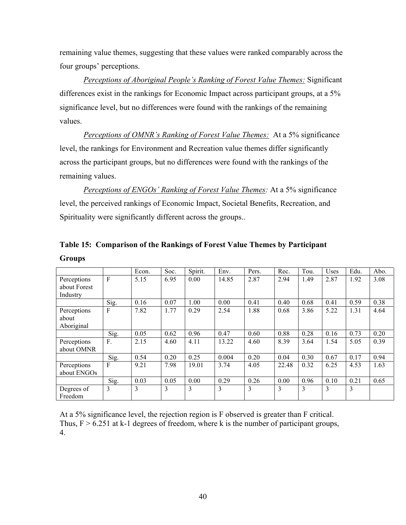remaining value themes, suggesting that these values were ranked comparably across the four groups' perceptions.

*Perceptions of Aboriginal People's Ranking of Forest Value Themes:* Significant differences exist in the rankings for Economic Impact across participant groups, at a 5% significance level, but no differences were found with the rankings of the remaining values.

*Perceptions of OMNR's Ranking of Forest Value Themes:* At a 5% significance level, the rankings for Environment and Recreation value themes differ significantly across the participant groups, but no differences were found with the rankings of the remaining values.

*Perceptions of ENGOs' Ranking of Forest Value Themes:* At a 5% significance level, the perceived rankings of Economic Impact, Societal Benefits, Recreation, and Spirituality were significantly different across the groups..

|                                         |              | Econ. | Soc. | Spirit. | Env.  | Pers. | Rec.  | Tou. | Uses | Edu. | Abo. |
|-----------------------------------------|--------------|-------|------|---------|-------|-------|-------|------|------|------|------|
| Perceptions<br>about Forest<br>Industry | $\mathbf{F}$ | 5.15  | 6.95 | 0.00    | 14.85 | 2.87  | 2.94  | 1.49 | 2.87 | 1.92 | 3.08 |
|                                         | Sig.         | 0.16  | 0.07 | 1.00    | 0.00  | 0.41  | 0.40  | 0.68 | 0.41 | 0.59 | 0.38 |
| Perceptions<br>about<br>Aboriginal      | $\mathbf{F}$ | 7.82  | 1.77 | 0.29    | 2.54  | 1.88  | 0.68  | 3.86 | 5.22 | 1.31 | 4.64 |
|                                         | Sig.         | 0.05  | 0.62 | 0.96    | 0.47  | 0.60  | 0.88  | 0.28 | 0.16 | 0.73 | 0.20 |
| Perceptions<br>about OMNR               | F.           | 2.15  | 4.60 | 4.11    | 13.22 | 4.60  | 8.39  | 3.64 | 1.54 | 5.05 | 0.39 |
|                                         | Sig.         | 0.54  | 0.20 | 0.25    | 0.004 | 0.20  | 0.04  | 0.30 | 0.67 | 0.17 | 0.94 |
| Perceptions<br>about ENGOs              | $\mathbf{F}$ | 9.21  | 7.98 | 19.01   | 3.74  | 4.05  | 22.48 | 0.32 | 6.25 | 4.53 | 1.63 |
|                                         | Sig.         | 0.03  | 0.05 | 0.00    | 0.29  | 0.26  | 0.00  | 0.96 | 0.10 | 0.21 | 0.65 |
| Degrees of<br>Freedom                   | 3            | 3     | 3    | 3       | 3     | 3     | 3     | 3    | 3    | 3    |      |

## **Table 15: Comparison of the Rankings of Forest Value Themes by Participant Groups**

At a 5% significance level, the rejection region is F observed is greater than F critical. Thus,  $F > 6.251$  at k-1 degrees of freedom, where k is the number of participant groups, 4.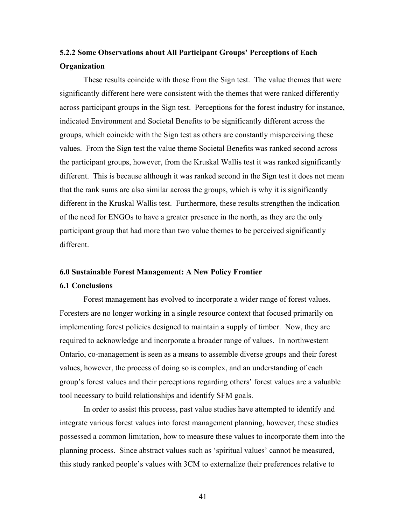## **5.2.2 Some Observations about All Participant Groups' Perceptions of Each Organization**

These results coincide with those from the Sign test. The value themes that were significantly different here were consistent with the themes that were ranked differently across participant groups in the Sign test. Perceptions for the forest industry for instance, indicated Environment and Societal Benefits to be significantly different across the groups, which coincide with the Sign test as others are constantly misperceiving these values. From the Sign test the value theme Societal Benefits was ranked second across the participant groups, however, from the Kruskal Wallis test it was ranked significantly different. This is because although it was ranked second in the Sign test it does not mean that the rank sums are also similar across the groups, which is why it is significantly different in the Kruskal Wallis test. Furthermore, these results strengthen the indication of the need for ENGOs to have a greater presence in the north, as they are the only participant group that had more than two value themes to be perceived significantly different.

#### **6.0 Sustainable Forest Management: A New Policy Frontier**

#### **6.1 Conclusions**

Forest management has evolved to incorporate a wider range of forest values. Foresters are no longer working in a single resource context that focused primarily on implementing forest policies designed to maintain a supply of timber. Now, they are required to acknowledge and incorporate a broader range of values. In northwestern Ontario, co-management is seen as a means to assemble diverse groups and their forest values, however, the process of doing so is complex, and an understanding of each group's forest values and their perceptions regarding others' forest values are a valuable tool necessary to build relationships and identify SFM goals.

In order to assist this process, past value studies have attempted to identify and integrate various forest values into forest management planning, however, these studies possessed a common limitation, how to measure these values to incorporate them into the planning process. Since abstract values such as 'spiritual values' cannot be measured, this study ranked people's values with 3CM to externalize their preferences relative to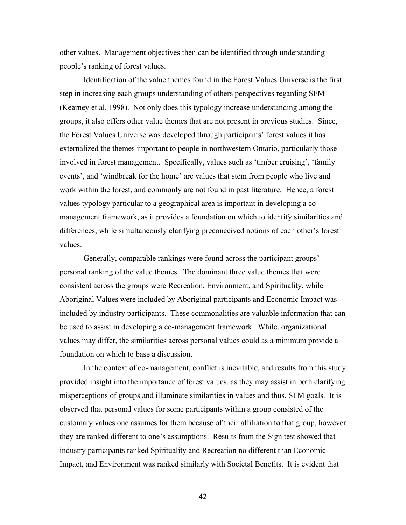other values. Management objectives then can be identified through understanding people's ranking of forest values.

Identification of the value themes found in the Forest Values Universe is the first step in increasing each groups understanding of others perspectives regarding SFM (Kearney et al. 1998). Not only does this typology increase understanding among the groups, it also offers other value themes that are not present in previous studies. Since, the Forest Values Universe was developed through participants' forest values it has externalized the themes important to people in northwestern Ontario, particularly those involved in forest management. Specifically, values such as 'timber cruising', 'family events', and 'windbreak for the home' are values that stem from people who live and work within the forest, and commonly are not found in past literature. Hence, a forest values typology particular to a geographical area is important in developing a comanagement framework, as it provides a foundation on which to identify similarities and differences, while simultaneously clarifying preconceived notions of each other's forest values.

Generally, comparable rankings were found across the participant groups' personal ranking of the value themes. The dominant three value themes that were consistent across the groups were Recreation, Environment, and Spirituality, while Aboriginal Values were included by Aboriginal participants and Economic Impact was included by industry participants. These commonalities are valuable information that can be used to assist in developing a co-management framework. While, organizational values may differ, the similarities across personal values could as a minimum provide a foundation on which to base a discussion.

In the context of co-management, conflict is inevitable, and results from this study provided insight into the importance of forest values, as they may assist in both clarifying misperceptions of groups and illuminate similarities in values and thus, SFM goals. It is observed that personal values for some participants within a group consisted of the customary values one assumes for them because of their affiliation to that group, however they are ranked different to one's assumptions. Results from the Sign test showed that industry participants ranked Spirituality and Recreation no different than Economic Impact, and Environment was ranked similarly with Societal Benefits. It is evident that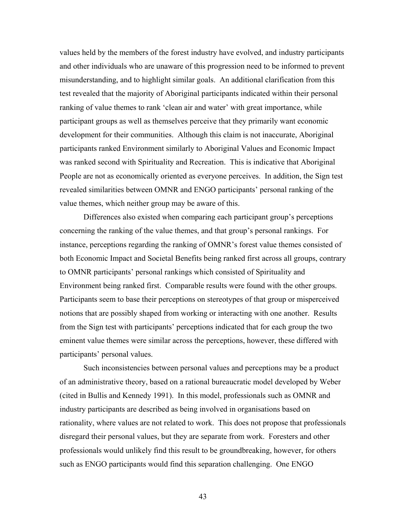values held by the members of the forest industry have evolved, and industry participants and other individuals who are unaware of this progression need to be informed to prevent misunderstanding, and to highlight similar goals. An additional clarification from this test revealed that the majority of Aboriginal participants indicated within their personal ranking of value themes to rank 'clean air and water' with great importance, while participant groups as well as themselves perceive that they primarily want economic development for their communities. Although this claim is not inaccurate, Aboriginal participants ranked Environment similarly to Aboriginal Values and Economic Impact was ranked second with Spirituality and Recreation. This is indicative that Aboriginal People are not as economically oriented as everyone perceives. In addition, the Sign test revealed similarities between OMNR and ENGO participants' personal ranking of the value themes, which neither group may be aware of this.

Differences also existed when comparing each participant group's perceptions concerning the ranking of the value themes, and that group's personal rankings. For instance, perceptions regarding the ranking of OMNR's forest value themes consisted of both Economic Impact and Societal Benefits being ranked first across all groups, contrary to OMNR participants' personal rankings which consisted of Spirituality and Environment being ranked first. Comparable results were found with the other groups. Participants seem to base their perceptions on stereotypes of that group or misperceived notions that are possibly shaped from working or interacting with one another. Results from the Sign test with participants' perceptions indicated that for each group the two eminent value themes were similar across the perceptions, however, these differed with participants' personal values.

Such inconsistencies between personal values and perceptions may be a product of an administrative theory, based on a rational bureaucratic model developed by Weber (cited in Bullis and Kennedy 1991). In this model, professionals such as OMNR and industry participants are described as being involved in organisations based on rationality, where values are not related to work. This does not propose that professionals disregard their personal values, but they are separate from work. Foresters and other professionals would unlikely find this result to be groundbreaking, however, for others such as ENGO participants would find this separation challenging. One ENGO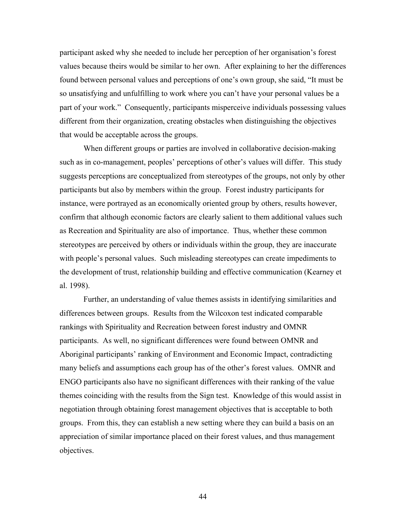participant asked why she needed to include her perception of her organisation's forest values because theirs would be similar to her own. After explaining to her the differences found between personal values and perceptions of one's own group, she said, "It must be so unsatisfying and unfulfilling to work where you can't have your personal values be a part of your work." Consequently, participants misperceive individuals possessing values different from their organization, creating obstacles when distinguishing the objectives that would be acceptable across the groups.

When different groups or parties are involved in collaborative decision-making such as in co-management, peoples' perceptions of other's values will differ. This study suggests perceptions are conceptualized from stereotypes of the groups, not only by other participants but also by members within the group. Forest industry participants for instance, were portrayed as an economically oriented group by others, results however, confirm that although economic factors are clearly salient to them additional values such as Recreation and Spirituality are also of importance. Thus, whether these common stereotypes are perceived by others or individuals within the group, they are inaccurate with people's personal values. Such misleading stereotypes can create impediments to the development of trust, relationship building and effective communication (Kearney et al. 1998).

Further, an understanding of value themes assists in identifying similarities and differences between groups. Results from the Wilcoxon test indicated comparable rankings with Spirituality and Recreation between forest industry and OMNR participants. As well, no significant differences were found between OMNR and Aboriginal participants' ranking of Environment and Economic Impact, contradicting many beliefs and assumptions each group has of the other's forest values. OMNR and ENGO participants also have no significant differences with their ranking of the value themes coinciding with the results from the Sign test. Knowledge of this would assist in negotiation through obtaining forest management objectives that is acceptable to both groups. From this, they can establish a new setting where they can build a basis on an appreciation of similar importance placed on their forest values, and thus management objectives.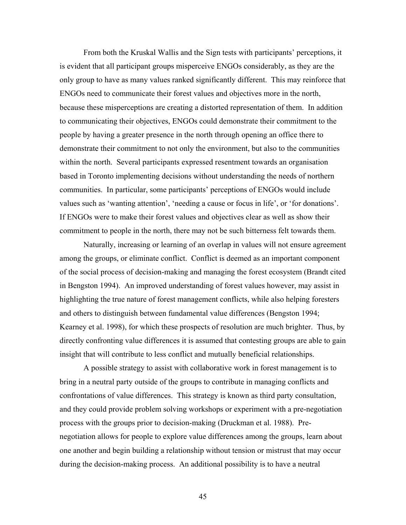From both the Kruskal Wallis and the Sign tests with participants' perceptions, it is evident that all participant groups misperceive ENGOs considerably, as they are the only group to have as many values ranked significantly different. This may reinforce that ENGOs need to communicate their forest values and objectives more in the north, because these misperceptions are creating a distorted representation of them. In addition to communicating their objectives, ENGOs could demonstrate their commitment to the people by having a greater presence in the north through opening an office there to demonstrate their commitment to not only the environment, but also to the communities within the north. Several participants expressed resentment towards an organisation based in Toronto implementing decisions without understanding the needs of northern communities. In particular, some participants' perceptions of ENGOs would include values such as 'wanting attention', 'needing a cause or focus in life', or 'for donations'. If ENGOs were to make their forest values and objectives clear as well as show their commitment to people in the north, there may not be such bitterness felt towards them.

Naturally, increasing or learning of an overlap in values will not ensure agreement among the groups, or eliminate conflict. Conflict is deemed as an important component of the social process of decision-making and managing the forest ecosystem (Brandt cited in Bengston 1994). An improved understanding of forest values however, may assist in highlighting the true nature of forest management conflicts, while also helping foresters and others to distinguish between fundamental value differences (Bengston 1994; Kearney et al. 1998), for which these prospects of resolution are much brighter. Thus, by directly confronting value differences it is assumed that contesting groups are able to gain insight that will contribute to less conflict and mutually beneficial relationships.

A possible strategy to assist with collaborative work in forest management is to bring in a neutral party outside of the groups to contribute in managing conflicts and confrontations of value differences. This strategy is known as third party consultation, and they could provide problem solving workshops or experiment with a pre-negotiation process with the groups prior to decision-making (Druckman et al. 1988). Prenegotiation allows for people to explore value differences among the groups, learn about one another and begin building a relationship without tension or mistrust that may occur during the decision-making process. An additional possibility is to have a neutral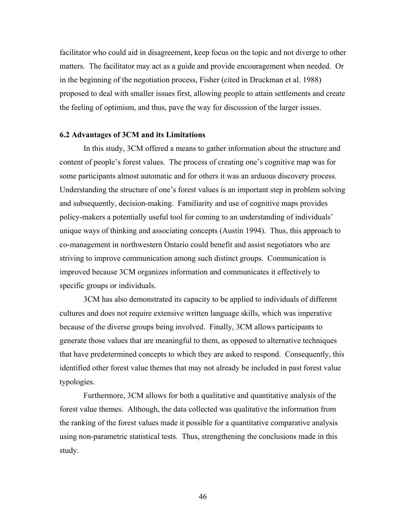facilitator who could aid in disagreement, keep focus on the topic and not diverge to other matters. The facilitator may act as a guide and provide encouragement when needed. Or in the beginning of the negotiation process, Fisher (cited in Druckman et al. 1988) proposed to deal with smaller issues first, allowing people to attain settlements and create the feeling of optimism, and thus, pave the way for discussion of the larger issues.

#### **6.2 Advantages of 3CM and its Limitations**

In this study, 3CM offered a means to gather information about the structure and content of people's forest values. The process of creating one's cognitive map was for some participants almost automatic and for others it was an arduous discovery process. Understanding the structure of one's forest values is an important step in problem solving and subsequently, decision-making. Familiarity and use of cognitive maps provides policy-makers a potentially useful tool for coming to an understanding of individuals' unique ways of thinking and associating concepts (Austin 1994). Thus, this approach to co-management in northwestern Ontario could benefit and assist negotiators who are striving to improve communication among such distinct groups. Communication is improved because 3CM organizes information and communicates it effectively to specific groups or individuals.

3CM has also demonstrated its capacity to be applied to individuals of different cultures and does not require extensive written language skills, which was imperative because of the diverse groups being involved. Finally, 3CM allows participants to generate those values that are meaningful to them, as opposed to alternative techniques that have predetermined concepts to which they are asked to respond. Consequently, this identified other forest value themes that may not already be included in past forest value typologies.

Furthermore, 3CM allows for both a qualitative and quantitative analysis of the forest value themes. Although, the data collected was qualitative the information from the ranking of the forest values made it possible for a quantitative comparative analysis using non-parametric statistical tests. Thus, strengthening the conclusions made in this study.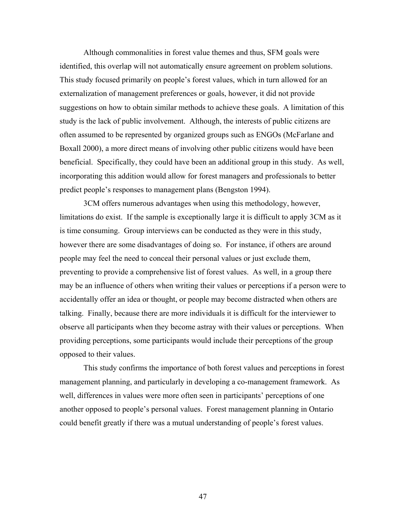Although commonalities in forest value themes and thus, SFM goals were identified, this overlap will not automatically ensure agreement on problem solutions. This study focused primarily on people's forest values, which in turn allowed for an externalization of management preferences or goals, however, it did not provide suggestions on how to obtain similar methods to achieve these goals. A limitation of this study is the lack of public involvement. Although, the interests of public citizens are often assumed to be represented by organized groups such as ENGOs (McFarlane and Boxall 2000), a more direct means of involving other public citizens would have been beneficial. Specifically, they could have been an additional group in this study. As well, incorporating this addition would allow for forest managers and professionals to better predict people's responses to management plans (Bengston 1994).

3CM offers numerous advantages when using this methodology, however, limitations do exist. If the sample is exceptionally large it is difficult to apply 3CM as it is time consuming. Group interviews can be conducted as they were in this study, however there are some disadvantages of doing so. For instance, if others are around people may feel the need to conceal their personal values or just exclude them, preventing to provide a comprehensive list of forest values. As well, in a group there may be an influence of others when writing their values or perceptions if a person were to accidentally offer an idea or thought, or people may become distracted when others are talking. Finally, because there are more individuals it is difficult for the interviewer to observe all participants when they become astray with their values or perceptions. When providing perceptions, some participants would include their perceptions of the group opposed to their values.

This study confirms the importance of both forest values and perceptions in forest management planning, and particularly in developing a co-management framework. As well, differences in values were more often seen in participants' perceptions of one another opposed to people's personal values. Forest management planning in Ontario could benefit greatly if there was a mutual understanding of people's forest values.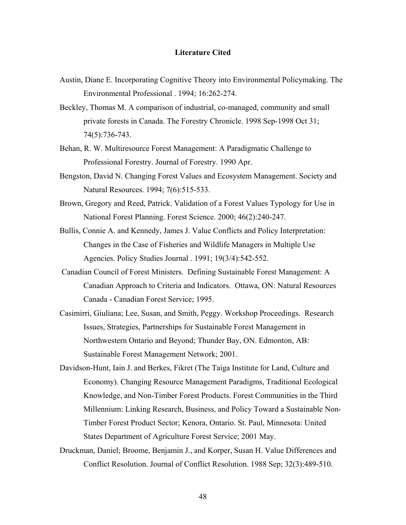#### **Literature Cited**

- Austin, Diane E. Incorporating Cognitive Theory into Environmental Policymaking. The Environmental Professional . 1994; 16:262-274.
- Beckley, Thomas M. A comparison of industrial, co-managed, community and small private forests in Canada. The Forestry Chronicle. 1998 Sep-1998 Oct 31; 74(5):736-743.
- Behan, R. W. Multiresource Forest Management: A Paradigmatic Challenge to Professional Forestry. Journal of Forestry. 1990 Apr.
- Bengston, David N. Changing Forest Values and Ecosystem Management. Society and Natural Resources. 1994; 7(6):515-533.
- Brown, Gregory and Reed, Patrick. Validation of a Forest Values Typology for Use in National Forest Planning. Forest Science. 2000; 46(2):240-247.
- Bullis, Connie A. and Kennedy, James J. Value Conflicts and Policy Interpretation: Changes in the Case of Fisheries and Wildlife Managers in Multiple Use Agencies. Policy Studies Journal . 1991; 19(3/4):542-552.
- Canadian Council of Forest Ministers. Defining Sustainable Forest Management: A Canadian Approach to Criteria and Indicators. Ottawa, ON: Natural Resources Canada - Canadian Forest Service; 1995.
- Casimirri, Giuliana; Lee, Susan, and Smith, Peggy. Workshop Proceedings. Research Issues, Strategies, Partnerships for Sustainable Forest Management in Northwestern Ontario and Beyond; Thunder Bay, ON. Edmonton, AB: Sustainable Forest Management Network; 2001.
- Davidson-Hunt, Iain J. and Berkes, Fikret (The Taiga Institute for Land, Culture and Economy). Changing Resource Management Paradigms, Traditional Ecological Knowledge, and Non-Timber Forest Products. Forest Communities in the Third Millennium: Linking Research, Business, and Policy Toward a Sustainable Non-Timber Forest Product Sector; Kenora, Ontario. St. Paul, Minnesota: United States Department of Agriculture Forest Service; 2001 May.
- Druckman, Daniel; Broome, Benjamin J., and Korper, Susan H. Value Differences and Conflict Resolution. Journal of Conflict Resolution. 1988 Sep; 32(3):489-510.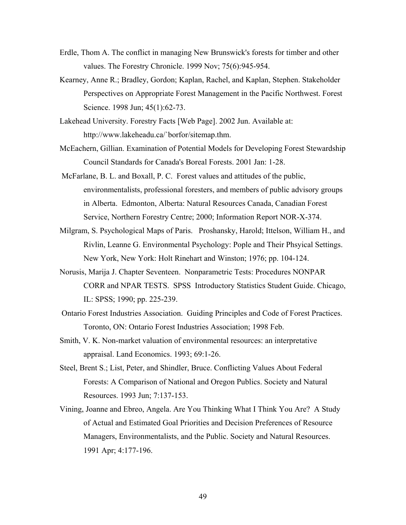- Erdle, Thom A. The conflict in managing New Brunswick's forests for timber and other values. The Forestry Chronicle. 1999 Nov; 75(6):945-954.
- Kearney, Anne R.; Bradley, Gordon; Kaplan, Rachel, and Kaplan, Stephen. Stakeholder Perspectives on Appropriate Forest Management in the Pacific Northwest. Forest Science. 1998 Jun; 45(1):62-73.
- Lakehead University. Forestry Facts [Web Page]. 2002 Jun. Available at: http://www.lakeheadu.ca/`borfor/sitemap.thm.
- McEachern, Gillian. Examination of Potential Models for Developing Forest Stewardship Council Standards for Canada's Boreal Forests. 2001 Jan: 1-28.
- McFarlane, B. L. and Boxall, P. C. Forest values and attitudes of the public, environmentalists, professional foresters, and members of public advisory groups in Alberta. Edmonton, Alberta: Natural Resources Canada, Canadian Forest Service, Northern Forestry Centre; 2000; Information Report NOR-X-374.
- Milgram, S. Psychological Maps of Paris. Proshansky, Harold; Ittelson, William H., and Rivlin, Leanne G. Environmental Psychology: Pople and Their Phsyical Settings. New York, New York: Holt Rinehart and Winston; 1976; pp. 104-124.
- Norusis, Marija J. Chapter Seventeen. Nonparametric Tests: Procedures NONPAR CORR and NPAR TESTS. SPSS Introductory Statistics Student Guide. Chicago, IL: SPSS; 1990; pp. 225-239.
- Ontario Forest Industries Association. Guiding Principles and Code of Forest Practices. Toronto, ON: Ontario Forest Industries Association; 1998 Feb.
- Smith, V. K. Non-market valuation of environmental resources: an interpretative appraisal. Land Economics. 1993; 69:1-26.
- Steel, Brent S.; List, Peter, and Shindler, Bruce. Conflicting Values About Federal Forests: A Comparison of National and Oregon Publics. Society and Natural Resources. 1993 Jun; 7:137-153.
- Vining, Joanne and Ebreo, Angela. Are You Thinking What I Think You Are? A Study of Actual and Estimated Goal Priorities and Decision Preferences of Resource Managers, Environmentalists, and the Public. Society and Natural Resources. 1991 Apr; 4:177-196.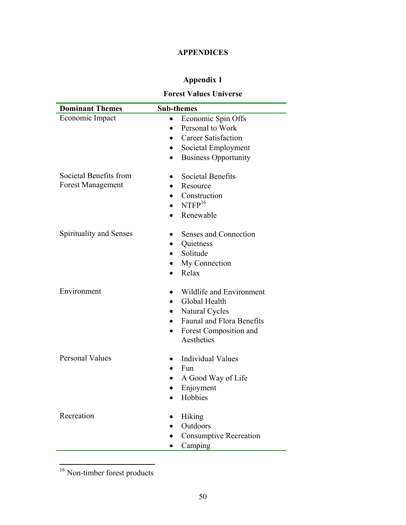## **APPENDICES**

## **Appendix 1**

## **Forest Values Universe**

| <b>Dominant Themes</b>   | <b>Sub-themes</b>                        |
|--------------------------|------------------------------------------|
| Economic Impact          | Economic Spin Offs                       |
|                          | Personal to Work<br>$\bullet$            |
|                          | <b>Career Satisfaction</b><br>$\bullet$  |
|                          | Societal Employment<br>$\bullet$         |
|                          | <b>Business Opportunity</b><br>$\bullet$ |
| Societal Benefits from   | <b>Societal Benefits</b>                 |
| <b>Forest Management</b> | Resource                                 |
|                          | Construction                             |
|                          | NTFP <sup>16</sup>                       |
|                          | Renewable                                |
| Spirituality and Senses  | Senses and Connection<br>$\bullet$       |
|                          | Quietness<br>$\bullet$                   |
|                          | Solitude                                 |
|                          | My Connection<br>$\bullet$               |
|                          | Relax<br>$\bullet$                       |
| Environment              | Wildlife and Environment                 |
|                          | Global Health<br>$\bullet$               |
|                          | Natural Cycles                           |
|                          | <b>Faunal and Flora Benefits</b>         |
|                          | Forest Composition and                   |
|                          | Aesthetics                               |
| <b>Personal Values</b>   | <b>Individual Values</b>                 |
|                          | Fun<br>$\bullet$                         |
|                          | A Good Way of Life<br>$\bullet$          |
|                          | Enjoyment<br>$\bullet$                   |
|                          | Hobbies<br>$\bullet$                     |
| Recreation               | Hiking                                   |
|                          | Outdoors<br>$\bullet$                    |
|                          | <b>Consumptive Recreation</b>            |
|                          | Camping                                  |

<sup>16</sup> Non-timber forest products

 $\overline{a}$